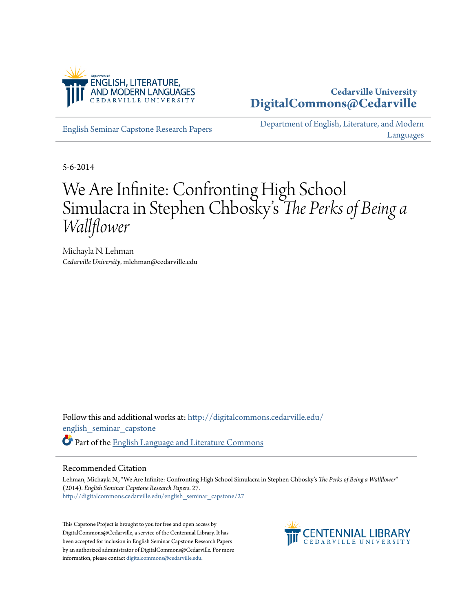

## **Cedarville University [DigitalCommons@Cedarville](http://digitalcommons.cedarville.edu?utm_source=digitalcommons.cedarville.edu%2Fenglish_seminar_capstone%2F27&utm_medium=PDF&utm_campaign=PDFCoverPages)**

[English Seminar Capstone Research Papers](http://digitalcommons.cedarville.edu/english_seminar_capstone?utm_source=digitalcommons.cedarville.edu%2Fenglish_seminar_capstone%2F27&utm_medium=PDF&utm_campaign=PDFCoverPages)

[Department of English, Literature, and Modern](http://digitalcommons.cedarville.edu/english_literature_modern_languages?utm_source=digitalcommons.cedarville.edu%2Fenglish_seminar_capstone%2F27&utm_medium=PDF&utm_campaign=PDFCoverPages) [Languages](http://digitalcommons.cedarville.edu/english_literature_modern_languages?utm_source=digitalcommons.cedarville.edu%2Fenglish_seminar_capstone%2F27&utm_medium=PDF&utm_campaign=PDFCoverPages)

5-6-2014

## We Are Infinite: Confronting High School Simulacra in Stephen Chbosky' s *The Perks of Being a Wallflower*

Michayla N. Lehman *Cedarville University*, mlehman@cedarville.edu

Follow this and additional works at: [http://digitalcommons.cedarville.edu/](http://digitalcommons.cedarville.edu/english_seminar_capstone?utm_source=digitalcommons.cedarville.edu%2Fenglish_seminar_capstone%2F27&utm_medium=PDF&utm_campaign=PDFCoverPages) [english\\_seminar\\_capstone](http://digitalcommons.cedarville.edu/english_seminar_capstone?utm_source=digitalcommons.cedarville.edu%2Fenglish_seminar_capstone%2F27&utm_medium=PDF&utm_campaign=PDFCoverPages) Part of the [English Language and Literature Commons](http://network.bepress.com/hgg/discipline/455?utm_source=digitalcommons.cedarville.edu%2Fenglish_seminar_capstone%2F27&utm_medium=PDF&utm_campaign=PDFCoverPages)

## Recommended Citation

Lehman, Michayla N., "We Are Infinite: Confronting High School Simulacra in Stephen Chbosky's *The Perks of Being a Wallflower*" (2014). *English Seminar Capstone Research Papers*. 27. [http://digitalcommons.cedarville.edu/english\\_seminar\\_capstone/27](http://digitalcommons.cedarville.edu/english_seminar_capstone/27?utm_source=digitalcommons.cedarville.edu%2Fenglish_seminar_capstone%2F27&utm_medium=PDF&utm_campaign=PDFCoverPages)

This Capstone Project is brought to you for free and open access by DigitalCommons@Cedarville, a service of the Centennial Library. It has been accepted for inclusion in English Seminar Capstone Research Papers by an authorized administrator of DigitalCommons@Cedarville. For more information, please contact [digitalcommons@cedarville.edu.](mailto:digitalcommons@cedarville.edu)

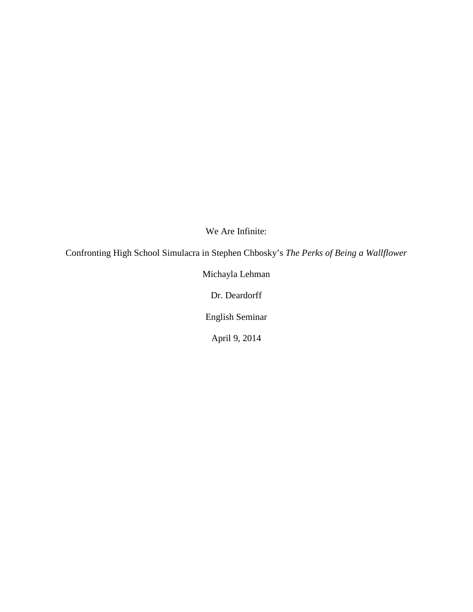We Are Infinite:

Confronting High School Simulacra in Stephen Chbosky's *The Perks of Being a Wallflower*

Michayla Lehman

Dr. Deardorff

English Seminar

April 9, 2014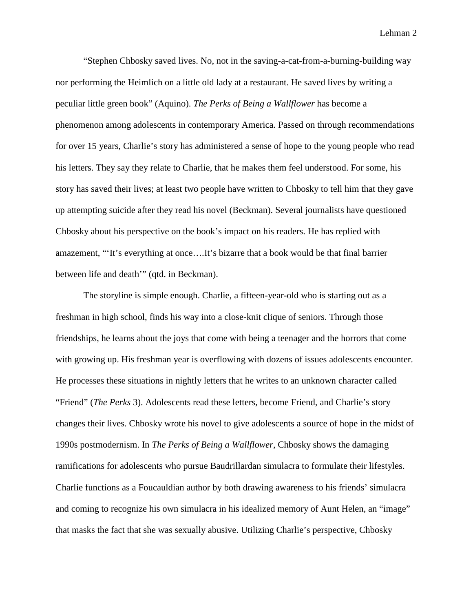"Stephen Chbosky saved lives. No, not in the saving-a-cat-from-a-burning-building way nor performing the Heimlich on a little old lady at a restaurant. He saved lives by writing a peculiar little green book" (Aquino). *The Perks of Being a Wallflower* has become a phenomenon among adolescents in contemporary America. Passed on through recommendations for over 15 years, Charlie's story has administered a sense of hope to the young people who read his letters. They say they relate to Charlie, that he makes them feel understood. For some, his story has saved their lives; at least two people have written to Chbosky to tell him that they gave up attempting suicide after they read his novel (Beckman). Several journalists have questioned Chbosky about his perspective on the book's impact on his readers. He has replied with amazement, "'It's everything at once….It's bizarre that a book would be that final barrier between life and death'" (qtd. in Beckman).

The storyline is simple enough. Charlie, a fifteen-year-old who is starting out as a freshman in high school, finds his way into a close-knit clique of seniors. Through those friendships, he learns about the joys that come with being a teenager and the horrors that come with growing up. His freshman year is overflowing with dozens of issues adolescents encounter. He processes these situations in nightly letters that he writes to an unknown character called "Friend" (*The Perks* 3). Adolescents read these letters, become Friend, and Charlie's story changes their lives. Chbosky wrote his novel to give adolescents a source of hope in the midst of 1990s postmodernism. In *The Perks of Being a Wallflower*, Chbosky shows the damaging ramifications for adolescents who pursue Baudrillardan simulacra to formulate their lifestyles. Charlie functions as a Foucauldian author by both drawing awareness to his friends' simulacra and coming to recognize his own simulacra in his idealized memory of Aunt Helen, an "image" that masks the fact that she was sexually abusive. Utilizing Charlie's perspective, Chbosky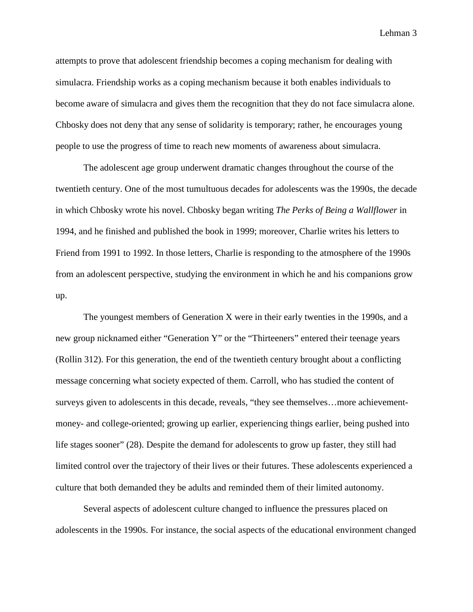attempts to prove that adolescent friendship becomes a coping mechanism for dealing with simulacra. Friendship works as a coping mechanism because it both enables individuals to become aware of simulacra and gives them the recognition that they do not face simulacra alone. Chbosky does not deny that any sense of solidarity is temporary; rather, he encourages young people to use the progress of time to reach new moments of awareness about simulacra.

The adolescent age group underwent dramatic changes throughout the course of the twentieth century. One of the most tumultuous decades for adolescents was the 1990s, the decade in which Chbosky wrote his novel. Chbosky began writing *The Perks of Being a Wallflower* in 1994, and he finished and published the book in 1999; moreover, Charlie writes his letters to Friend from 1991 to 1992. In those letters, Charlie is responding to the atmosphere of the 1990s from an adolescent perspective, studying the environment in which he and his companions grow up.

The youngest members of Generation X were in their early twenties in the 1990s, and a new group nicknamed either "Generation Y" or the "Thirteeners" entered their teenage years (Rollin 312). For this generation, the end of the twentieth century brought about a conflicting message concerning what society expected of them. Carroll, who has studied the content of surveys given to adolescents in this decade, reveals, "they see themselves…more achievementmoney- and college-oriented; growing up earlier, experiencing things earlier, being pushed into life stages sooner" (28). Despite the demand for adolescents to grow up faster, they still had limited control over the trajectory of their lives or their futures. These adolescents experienced a culture that both demanded they be adults and reminded them of their limited autonomy.

Several aspects of adolescent culture changed to influence the pressures placed on adolescents in the 1990s. For instance, the social aspects of the educational environment changed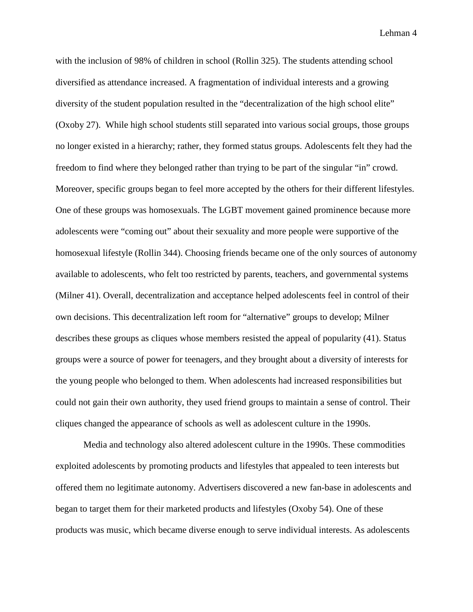with the inclusion of 98% of children in school (Rollin 325). The students attending school diversified as attendance increased. A fragmentation of individual interests and a growing diversity of the student population resulted in the "decentralization of the high school elite" (Oxoby 27). While high school students still separated into various social groups, those groups no longer existed in a hierarchy; rather, they formed status groups. Adolescents felt they had the freedom to find where they belonged rather than trying to be part of the singular "in" crowd. Moreover, specific groups began to feel more accepted by the others for their different lifestyles. One of these groups was homosexuals. The LGBT movement gained prominence because more adolescents were "coming out" about their sexuality and more people were supportive of the homosexual lifestyle (Rollin 344). Choosing friends became one of the only sources of autonomy available to adolescents, who felt too restricted by parents, teachers, and governmental systems (Milner 41). Overall, decentralization and acceptance helped adolescents feel in control of their own decisions. This decentralization left room for "alternative" groups to develop; Milner describes these groups as cliques whose members resisted the appeal of popularity (41). Status groups were a source of power for teenagers, and they brought about a diversity of interests for the young people who belonged to them. When adolescents had increased responsibilities but could not gain their own authority, they used friend groups to maintain a sense of control. Their cliques changed the appearance of schools as well as adolescent culture in the 1990s.

Media and technology also altered adolescent culture in the 1990s. These commodities exploited adolescents by promoting products and lifestyles that appealed to teen interests but offered them no legitimate autonomy. Advertisers discovered a new fan-base in adolescents and began to target them for their marketed products and lifestyles (Oxoby 54). One of these products was music, which became diverse enough to serve individual interests. As adolescents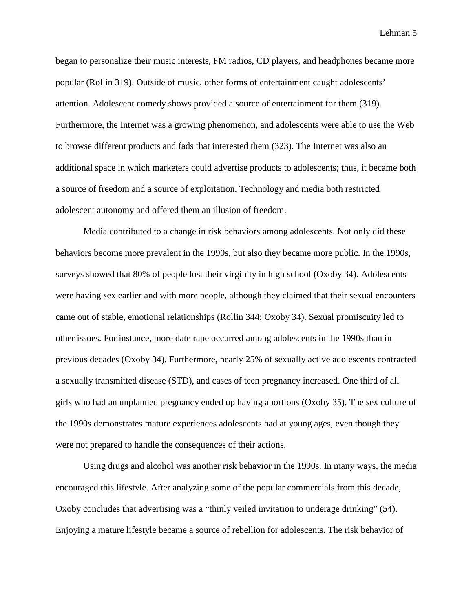began to personalize their music interests, FM radios, CD players, and headphones became more popular (Rollin 319). Outside of music, other forms of entertainment caught adolescents' attention. Adolescent comedy shows provided a source of entertainment for them (319). Furthermore, the Internet was a growing phenomenon, and adolescents were able to use the Web to browse different products and fads that interested them (323). The Internet was also an additional space in which marketers could advertise products to adolescents; thus, it became both a source of freedom and a source of exploitation. Technology and media both restricted adolescent autonomy and offered them an illusion of freedom.

Media contributed to a change in risk behaviors among adolescents. Not only did these behaviors become more prevalent in the 1990s, but also they became more public. In the 1990s, surveys showed that 80% of people lost their virginity in high school (Oxoby 34). Adolescents were having sex earlier and with more people, although they claimed that their sexual encounters came out of stable, emotional relationships (Rollin 344; Oxoby 34). Sexual promiscuity led to other issues. For instance, more date rape occurred among adolescents in the 1990s than in previous decades (Oxoby 34). Furthermore, nearly 25% of sexually active adolescents contracted a sexually transmitted disease (STD), and cases of teen pregnancy increased. One third of all girls who had an unplanned pregnancy ended up having abortions (Oxoby 35). The sex culture of the 1990s demonstrates mature experiences adolescents had at young ages, even though they were not prepared to handle the consequences of their actions.

Using drugs and alcohol was another risk behavior in the 1990s. In many ways, the media encouraged this lifestyle. After analyzing some of the popular commercials from this decade, Oxoby concludes that advertising was a "thinly veiled invitation to underage drinking" (54). Enjoying a mature lifestyle became a source of rebellion for adolescents. The risk behavior of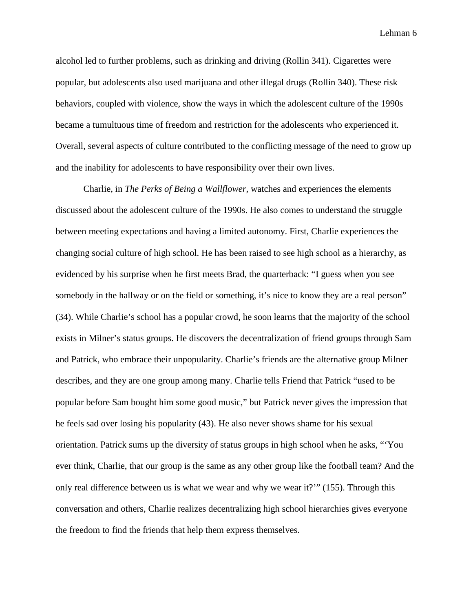alcohol led to further problems, such as drinking and driving (Rollin 341). Cigarettes were popular, but adolescents also used marijuana and other illegal drugs (Rollin 340). These risk behaviors, coupled with violence, show the ways in which the adolescent culture of the 1990s became a tumultuous time of freedom and restriction for the adolescents who experienced it. Overall, several aspects of culture contributed to the conflicting message of the need to grow up and the inability for adolescents to have responsibility over their own lives.

Charlie, in *The Perks of Being a Wallflower*, watches and experiences the elements discussed about the adolescent culture of the 1990s. He also comes to understand the struggle between meeting expectations and having a limited autonomy. First, Charlie experiences the changing social culture of high school. He has been raised to see high school as a hierarchy, as evidenced by his surprise when he first meets Brad, the quarterback: "I guess when you see somebody in the hallway or on the field or something, it's nice to know they are a real person" (34). While Charlie's school has a popular crowd, he soon learns that the majority of the school exists in Milner's status groups. He discovers the decentralization of friend groups through Sam and Patrick, who embrace their unpopularity. Charlie's friends are the alternative group Milner describes, and they are one group among many. Charlie tells Friend that Patrick "used to be popular before Sam bought him some good music," but Patrick never gives the impression that he feels sad over losing his popularity (43). He also never shows shame for his sexual orientation. Patrick sums up the diversity of status groups in high school when he asks, "'You ever think, Charlie, that our group is the same as any other group like the football team? And the only real difference between us is what we wear and why we wear it?'" (155). Through this conversation and others, Charlie realizes decentralizing high school hierarchies gives everyone the freedom to find the friends that help them express themselves.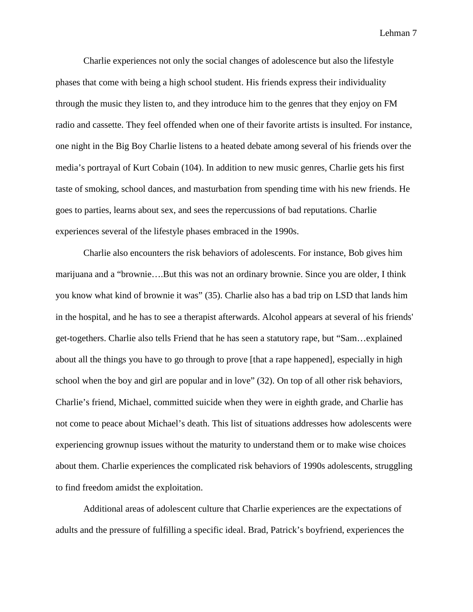Charlie experiences not only the social changes of adolescence but also the lifestyle phases that come with being a high school student. His friends express their individuality through the music they listen to, and they introduce him to the genres that they enjoy on FM radio and cassette. They feel offended when one of their favorite artists is insulted. For instance, one night in the Big Boy Charlie listens to a heated debate among several of his friends over the media's portrayal of Kurt Cobain (104). In addition to new music genres, Charlie gets his first taste of smoking, school dances, and masturbation from spending time with his new friends. He goes to parties, learns about sex, and sees the repercussions of bad reputations. Charlie experiences several of the lifestyle phases embraced in the 1990s.

Charlie also encounters the risk behaviors of adolescents. For instance, Bob gives him marijuana and a "brownie….But this was not an ordinary brownie. Since you are older, I think you know what kind of brownie it was" (35). Charlie also has a bad trip on LSD that lands him in the hospital, and he has to see a therapist afterwards. Alcohol appears at several of his friends' get-togethers. Charlie also tells Friend that he has seen a statutory rape, but "Sam…explained about all the things you have to go through to prove [that a rape happened], especially in high school when the boy and girl are popular and in love" (32). On top of all other risk behaviors, Charlie's friend, Michael, committed suicide when they were in eighth grade, and Charlie has not come to peace about Michael's death. This list of situations addresses how adolescents were experiencing grownup issues without the maturity to understand them or to make wise choices about them. Charlie experiences the complicated risk behaviors of 1990s adolescents, struggling to find freedom amidst the exploitation.

Additional areas of adolescent culture that Charlie experiences are the expectations of adults and the pressure of fulfilling a specific ideal. Brad, Patrick's boyfriend, experiences the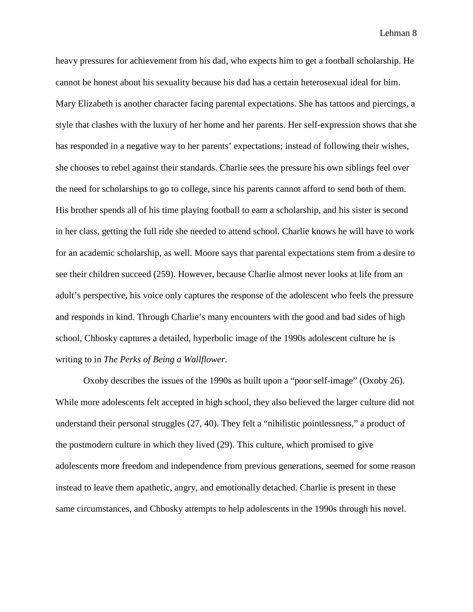heavy pressures for achievement from his dad, who expects him to get a football scholarship. He cannot be honest about his sexuality because his dad has a certain heterosexual ideal for him. Mary Elizabeth is another character facing parental expectations. She has tattoos and piercings, a style that clashes with the luxury of her home and her parents. Her self-expression shows that she has responded in a negative way to her parents' expectations; instead of following their wishes, she chooses to rebel against their standards. Charlie sees the pressure his own siblings feel over the need for scholarships to go to college, since his parents cannot afford to send both of them. His brother spends all of his time playing football to earn a scholarship, and his sister is second in her class, getting the full ride she needed to attend school. Charlie knows he will have to work for an academic scholarship, as well. Moore says that parental expectations stem from a desire to see their children succeed (259). However, because Charlie almost never looks at life from an adult's perspective, his voice only captures the response of the adolescent who feels the pressure and responds in kind. Through Charlie's many encounters with the good and bad sides of high school, Chbosky captures a detailed, hyperbolic image of the 1990s adolescent culture he is writing to in *The Perks of Being a Wallflower*.

Oxoby describes the issues of the 1990s as built upon a "poor self-image" (Oxoby 26). While more adolescents felt accepted in high school, they also believed the larger culture did not understand their personal struggles (27, 40). They felt a "nihilistic pointlessness," a product of the postmodern culture in which they lived (29). This culture, which promised to give adolescents more freedom and independence from previous generations, seemed for some reason instead to leave them apathetic, angry, and emotionally detached. Charlie is present in these same circumstances, and Chbosky attempts to help adolescents in the 1990s through his novel.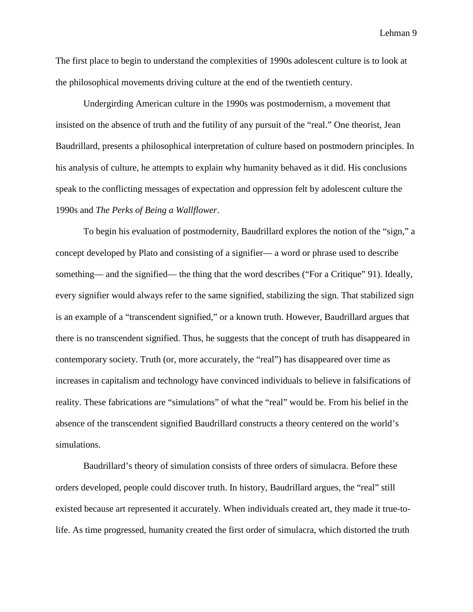The first place to begin to understand the complexities of 1990s adolescent culture is to look at the philosophical movements driving culture at the end of the twentieth century.

Undergirding American culture in the 1990s was postmodernism, a movement that insisted on the absence of truth and the futility of any pursuit of the "real." One theorist, Jean Baudrillard, presents a philosophical interpretation of culture based on postmodern principles. In his analysis of culture, he attempts to explain why humanity behaved as it did. His conclusions speak to the conflicting messages of expectation and oppression felt by adolescent culture the 1990s and *The Perks of Being a Wallflower*.

To begin his evaluation of postmodernity, Baudrillard explores the notion of the "sign," a concept developed by Plato and consisting of a signifier— a word or phrase used to describe something— and the signified— the thing that the word describes ("For a Critique" 91). Ideally, every signifier would always refer to the same signified, stabilizing the sign. That stabilized sign is an example of a "transcendent signified," or a known truth. However, Baudrillard argues that there is no transcendent signified. Thus, he suggests that the concept of truth has disappeared in contemporary society. Truth (or, more accurately, the "real") has disappeared over time as increases in capitalism and technology have convinced individuals to believe in falsifications of reality. These fabrications are "simulations" of what the "real" would be. From his belief in the absence of the transcendent signified Baudrillard constructs a theory centered on the world's simulations.

Baudrillard's theory of simulation consists of three orders of simulacra. Before these orders developed, people could discover truth. In history, Baudrillard argues, the "real" still existed because art represented it accurately. When individuals created art, they made it true-tolife. As time progressed, humanity created the first order of simulacra, which distorted the truth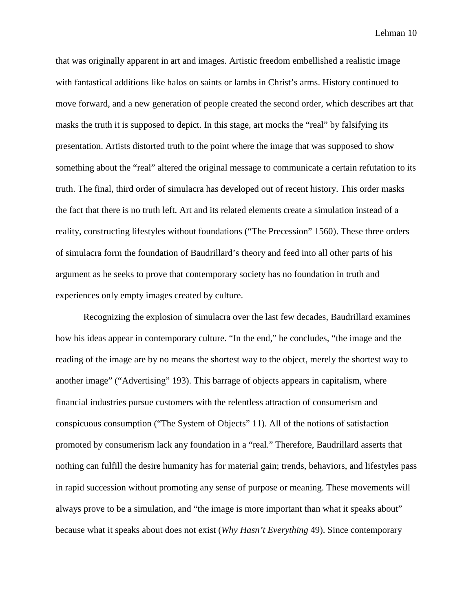that was originally apparent in art and images. Artistic freedom embellished a realistic image with fantastical additions like halos on saints or lambs in Christ's arms. History continued to move forward, and a new generation of people created the second order, which describes art that masks the truth it is supposed to depict. In this stage, art mocks the "real" by falsifying its presentation. Artists distorted truth to the point where the image that was supposed to show something about the "real" altered the original message to communicate a certain refutation to its truth. The final, third order of simulacra has developed out of recent history. This order masks the fact that there is no truth left. Art and its related elements create a simulation instead of a reality, constructing lifestyles without foundations ("The Precession" 1560). These three orders of simulacra form the foundation of Baudrillard's theory and feed into all other parts of his argument as he seeks to prove that contemporary society has no foundation in truth and experiences only empty images created by culture.

Recognizing the explosion of simulacra over the last few decades, Baudrillard examines how his ideas appear in contemporary culture. "In the end," he concludes, "the image and the reading of the image are by no means the shortest way to the object, merely the shortest way to another image" ("Advertising" 193). This barrage of objects appears in capitalism, where financial industries pursue customers with the relentless attraction of consumerism and conspicuous consumption ("The System of Objects" 11). All of the notions of satisfaction promoted by consumerism lack any foundation in a "real." Therefore, Baudrillard asserts that nothing can fulfill the desire humanity has for material gain; trends, behaviors, and lifestyles pass in rapid succession without promoting any sense of purpose or meaning. These movements will always prove to be a simulation, and "the image is more important than what it speaks about" because what it speaks about does not exist (*Why Hasn't Everything* 49). Since contemporary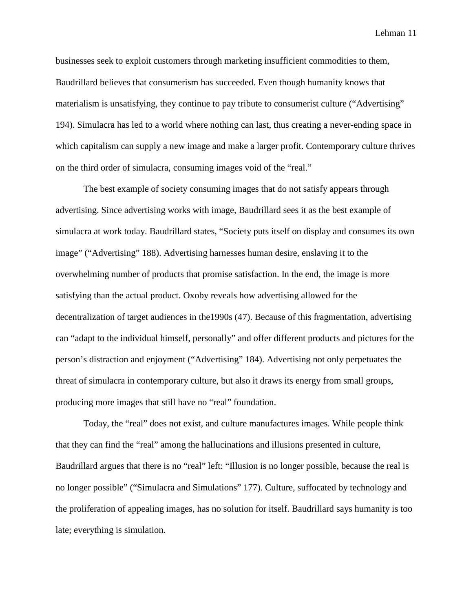businesses seek to exploit customers through marketing insufficient commodities to them, Baudrillard believes that consumerism has succeeded. Even though humanity knows that materialism is unsatisfying, they continue to pay tribute to consumerist culture ("Advertising" 194). Simulacra has led to a world where nothing can last, thus creating a never-ending space in which capitalism can supply a new image and make a larger profit. Contemporary culture thrives on the third order of simulacra, consuming images void of the "real."

The best example of society consuming images that do not satisfy appears through advertising. Since advertising works with image, Baudrillard sees it as the best example of simulacra at work today. Baudrillard states, "Society puts itself on display and consumes its own image" ("Advertising" 188). Advertising harnesses human desire, enslaving it to the overwhelming number of products that promise satisfaction. In the end, the image is more satisfying than the actual product. Oxoby reveals how advertising allowed for the decentralization of target audiences in the1990s (47). Because of this fragmentation, advertising can "adapt to the individual himself, personally" and offer different products and pictures for the person's distraction and enjoyment ("Advertising" 184). Advertising not only perpetuates the threat of simulacra in contemporary culture, but also it draws its energy from small groups, producing more images that still have no "real" foundation.

Today, the "real" does not exist, and culture manufactures images. While people think that they can find the "real" among the hallucinations and illusions presented in culture, Baudrillard argues that there is no "real" left: "Illusion is no longer possible, because the real is no longer possible" ("Simulacra and Simulations" 177). Culture, suffocated by technology and the proliferation of appealing images, has no solution for itself. Baudrillard says humanity is too late; everything is simulation.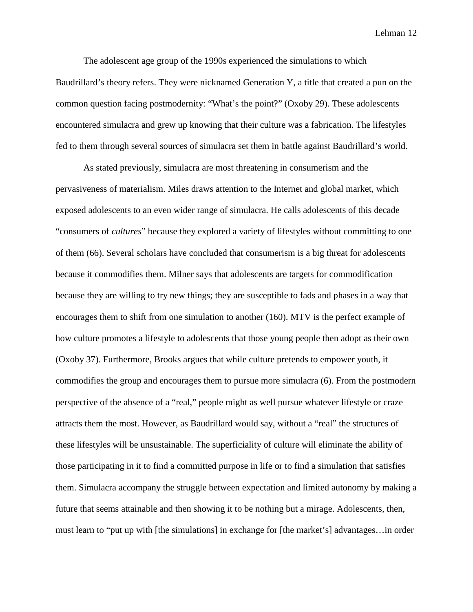The adolescent age group of the 1990s experienced the simulations to which Baudrillard's theory refers. They were nicknamed Generation Y, a title that created a pun on the common question facing postmodernity: "What's the point?" (Oxoby 29). These adolescents encountered simulacra and grew up knowing that their culture was a fabrication. The lifestyles fed to them through several sources of simulacra set them in battle against Baudrillard's world.

As stated previously, simulacra are most threatening in consumerism and the pervasiveness of materialism. Miles draws attention to the Internet and global market, which exposed adolescents to an even wider range of simulacra. He calls adolescents of this decade "consumers of *cultures*" because they explored a variety of lifestyles without committing to one of them (66). Several scholars have concluded that consumerism is a big threat for adolescents because it commodifies them. Milner says that adolescents are targets for commodification because they are willing to try new things; they are susceptible to fads and phases in a way that encourages them to shift from one simulation to another (160). MTV is the perfect example of how culture promotes a lifestyle to adolescents that those young people then adopt as their own (Oxoby 37). Furthermore, Brooks argues that while culture pretends to empower youth, it commodifies the group and encourages them to pursue more simulacra (6). From the postmodern perspective of the absence of a "real," people might as well pursue whatever lifestyle or craze attracts them the most. However, as Baudrillard would say, without a "real" the structures of these lifestyles will be unsustainable. The superficiality of culture will eliminate the ability of those participating in it to find a committed purpose in life or to find a simulation that satisfies them. Simulacra accompany the struggle between expectation and limited autonomy by making a future that seems attainable and then showing it to be nothing but a mirage. Adolescents, then, must learn to "put up with [the simulations] in exchange for [the market's] advantages…in order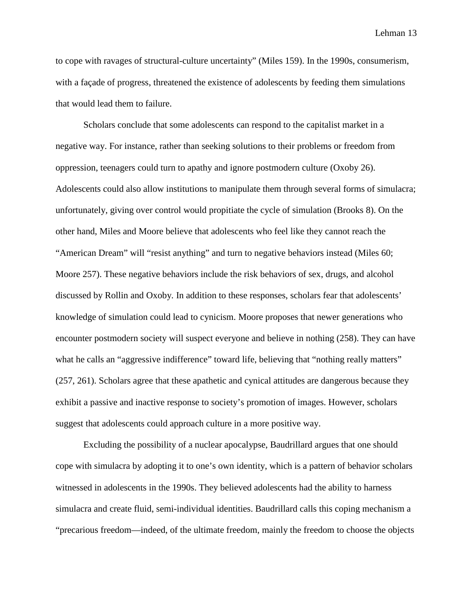to cope with ravages of structural-culture uncertainty" (Miles 159). In the 1990s, consumerism, with a façade of progress, threatened the existence of adolescents by feeding them simulations that would lead them to failure.

Scholars conclude that some adolescents can respond to the capitalist market in a negative way. For instance, rather than seeking solutions to their problems or freedom from oppression, teenagers could turn to apathy and ignore postmodern culture (Oxoby 26). Adolescents could also allow institutions to manipulate them through several forms of simulacra; unfortunately, giving over control would propitiate the cycle of simulation (Brooks 8). On the other hand, Miles and Moore believe that adolescents who feel like they cannot reach the "American Dream" will "resist anything" and turn to negative behaviors instead (Miles 60; Moore 257). These negative behaviors include the risk behaviors of sex, drugs, and alcohol discussed by Rollin and Oxoby. In addition to these responses, scholars fear that adolescents' knowledge of simulation could lead to cynicism. Moore proposes that newer generations who encounter postmodern society will suspect everyone and believe in nothing (258). They can have what he calls an "aggressive indifference" toward life, believing that "nothing really matters" (257, 261). Scholars agree that these apathetic and cynical attitudes are dangerous because they exhibit a passive and inactive response to society's promotion of images. However, scholars suggest that adolescents could approach culture in a more positive way.

Excluding the possibility of a nuclear apocalypse, Baudrillard argues that one should cope with simulacra by adopting it to one's own identity, which is a pattern of behavior scholars witnessed in adolescents in the 1990s. They believed adolescents had the ability to harness simulacra and create fluid, semi-individual identities. Baudrillard calls this coping mechanism a "precarious freedom—indeed, of the ultimate freedom, mainly the freedom to choose the objects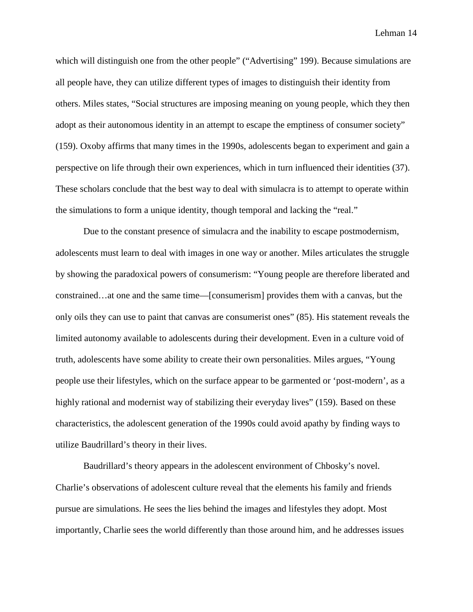which will distinguish one from the other people" ("Advertising" 199). Because simulations are all people have, they can utilize different types of images to distinguish their identity from others. Miles states, "Social structures are imposing meaning on young people, which they then adopt as their autonomous identity in an attempt to escape the emptiness of consumer society" (159). Oxoby affirms that many times in the 1990s, adolescents began to experiment and gain a perspective on life through their own experiences, which in turn influenced their identities (37). These scholars conclude that the best way to deal with simulacra is to attempt to operate within the simulations to form a unique identity, though temporal and lacking the "real."

Due to the constant presence of simulacra and the inability to escape postmodernism, adolescents must learn to deal with images in one way or another. Miles articulates the struggle by showing the paradoxical powers of consumerism: "Young people are therefore liberated and constrained…at one and the same time—[consumerism] provides them with a canvas, but the only oils they can use to paint that canvas are consumerist ones" (85). His statement reveals the limited autonomy available to adolescents during their development. Even in a culture void of truth, adolescents have some ability to create their own personalities. Miles argues, "Young people use their lifestyles, which on the surface appear to be garmented or 'post-modern', as a highly rational and modernist way of stabilizing their everyday lives" (159). Based on these characteristics, the adolescent generation of the 1990s could avoid apathy by finding ways to utilize Baudrillard's theory in their lives.

Baudrillard's theory appears in the adolescent environment of Chbosky's novel. Charlie's observations of adolescent culture reveal that the elements his family and friends pursue are simulations. He sees the lies behind the images and lifestyles they adopt. Most importantly, Charlie sees the world differently than those around him, and he addresses issues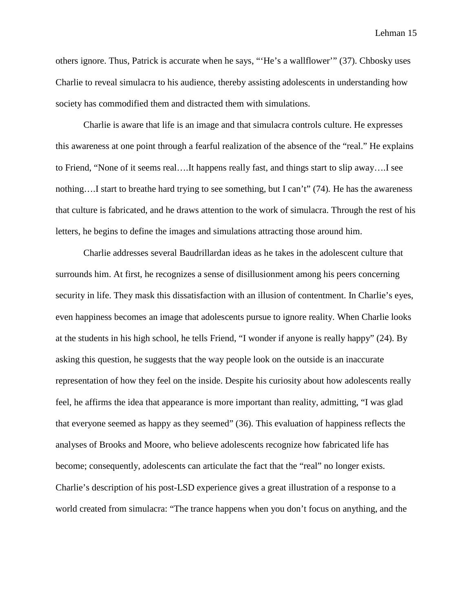others ignore. Thus, Patrick is accurate when he says, "'He's a wallflower'" (37). Chbosky uses Charlie to reveal simulacra to his audience, thereby assisting adolescents in understanding how society has commodified them and distracted them with simulations.

Charlie is aware that life is an image and that simulacra controls culture. He expresses this awareness at one point through a fearful realization of the absence of the "real." He explains to Friend, "None of it seems real….It happens really fast, and things start to slip away….I see nothing….I start to breathe hard trying to see something, but I can't" (74)*.* He has the awareness that culture is fabricated, and he draws attention to the work of simulacra. Through the rest of his letters, he begins to define the images and simulations attracting those around him.

Charlie addresses several Baudrillardan ideas as he takes in the adolescent culture that surrounds him. At first, he recognizes a sense of disillusionment among his peers concerning security in life. They mask this dissatisfaction with an illusion of contentment. In Charlie's eyes, even happiness becomes an image that adolescents pursue to ignore reality. When Charlie looks at the students in his high school, he tells Friend, "I wonder if anyone is really happy" (24). By asking this question, he suggests that the way people look on the outside is an inaccurate representation of how they feel on the inside. Despite his curiosity about how adolescents really feel, he affirms the idea that appearance is more important than reality, admitting, "I was glad that everyone seemed as happy as they seemed" (36). This evaluation of happiness reflects the analyses of Brooks and Moore, who believe adolescents recognize how fabricated life has become; consequently, adolescents can articulate the fact that the "real" no longer exists. Charlie's description of his post-LSD experience gives a great illustration of a response to a world created from simulacra: "The trance happens when you don't focus on anything, and the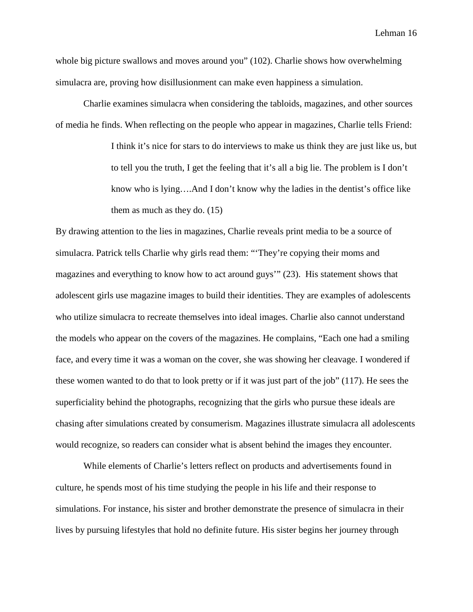whole big picture swallows and moves around you" (102). Charlie shows how overwhelming simulacra are, proving how disillusionment can make even happiness a simulation.

Charlie examines simulacra when considering the tabloids, magazines, and other sources of media he finds. When reflecting on the people who appear in magazines, Charlie tells Friend:

> I think it's nice for stars to do interviews to make us think they are just like us, but to tell you the truth, I get the feeling that it's all a big lie. The problem is I don't know who is lying….And I don't know why the ladies in the dentist's office like them as much as they do. (15)

By drawing attention to the lies in magazines, Charlie reveals print media to be a source of simulacra. Patrick tells Charlie why girls read them: "'They're copying their moms and magazines and everything to know how to act around guys'" (23). His statement shows that adolescent girls use magazine images to build their identities. They are examples of adolescents who utilize simulacra to recreate themselves into ideal images. Charlie also cannot understand the models who appear on the covers of the magazines. He complains, "Each one had a smiling face, and every time it was a woman on the cover, she was showing her cleavage. I wondered if these women wanted to do that to look pretty or if it was just part of the job" (117). He sees the superficiality behind the photographs, recognizing that the girls who pursue these ideals are chasing after simulations created by consumerism. Magazines illustrate simulacra all adolescents would recognize, so readers can consider what is absent behind the images they encounter.

While elements of Charlie's letters reflect on products and advertisements found in culture, he spends most of his time studying the people in his life and their response to simulations. For instance, his sister and brother demonstrate the presence of simulacra in their lives by pursuing lifestyles that hold no definite future. His sister begins her journey through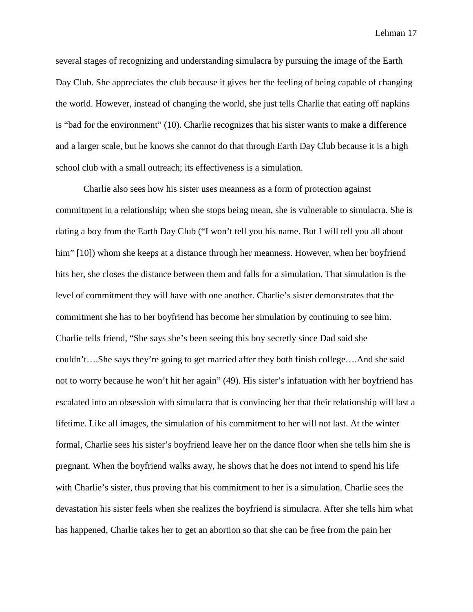several stages of recognizing and understanding simulacra by pursuing the image of the Earth Day Club. She appreciates the club because it gives her the feeling of being capable of changing the world. However, instead of changing the world, she just tells Charlie that eating off napkins is "bad for the environment" (10). Charlie recognizes that his sister wants to make a difference and a larger scale, but he knows she cannot do that through Earth Day Club because it is a high school club with a small outreach; its effectiveness is a simulation.

Charlie also sees how his sister uses meanness as a form of protection against commitment in a relationship; when she stops being mean, she is vulnerable to simulacra. She is dating a boy from the Earth Day Club ("I won't tell you his name. But I will tell you all about him" [10]) whom she keeps at a distance through her meanness. However, when her boyfriend hits her, she closes the distance between them and falls for a simulation. That simulation is the level of commitment they will have with one another. Charlie's sister demonstrates that the commitment she has to her boyfriend has become her simulation by continuing to see him. Charlie tells friend, "She says she's been seeing this boy secretly since Dad said she couldn't….She says they're going to get married after they both finish college….And she said not to worry because he won't hit her again" (49). His sister's infatuation with her boyfriend has escalated into an obsession with simulacra that is convincing her that their relationship will last a lifetime. Like all images, the simulation of his commitment to her will not last. At the winter formal, Charlie sees his sister's boyfriend leave her on the dance floor when she tells him she is pregnant. When the boyfriend walks away, he shows that he does not intend to spend his life with Charlie's sister, thus proving that his commitment to her is a simulation. Charlie sees the devastation his sister feels when she realizes the boyfriend is simulacra. After she tells him what has happened, Charlie takes her to get an abortion so that she can be free from the pain her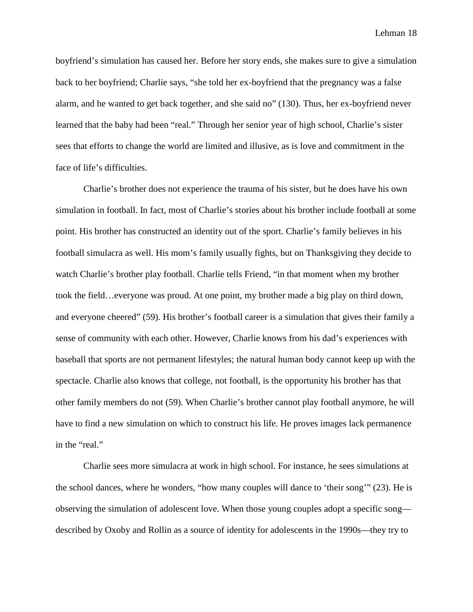boyfriend's simulation has caused her. Before her story ends, she makes sure to give a simulation back to her boyfriend; Charlie says, "she told her ex-boyfriend that the pregnancy was a false alarm, and he wanted to get back together, and she said no" (130). Thus, her ex-boyfriend never learned that the baby had been "real." Through her senior year of high school, Charlie's sister sees that efforts to change the world are limited and illusive, as is love and commitment in the face of life's difficulties.

Charlie's brother does not experience the trauma of his sister, but he does have his own simulation in football. In fact, most of Charlie's stories about his brother include football at some point. His brother has constructed an identity out of the sport. Charlie's family believes in his football simulacra as well. His mom's family usually fights, but on Thanksgiving they decide to watch Charlie's brother play football. Charlie tells Friend, "in that moment when my brother took the field…everyone was proud. At one point, my brother made a big play on third down, and everyone cheered" (59). His brother's football career is a simulation that gives their family a sense of community with each other. However, Charlie knows from his dad's experiences with baseball that sports are not permanent lifestyles; the natural human body cannot keep up with the spectacle. Charlie also knows that college, not football, is the opportunity his brother has that other family members do not (59). When Charlie's brother cannot play football anymore, he will have to find a new simulation on which to construct his life. He proves images lack permanence in the "real."

Charlie sees more simulacra at work in high school. For instance, he sees simulations at the school dances, where he wonders, "how many couples will dance to 'their song'" (23). He is observing the simulation of adolescent love. When those young couples adopt a specific song described by Oxoby and Rollin as a source of identity for adolescents in the 1990s—they try to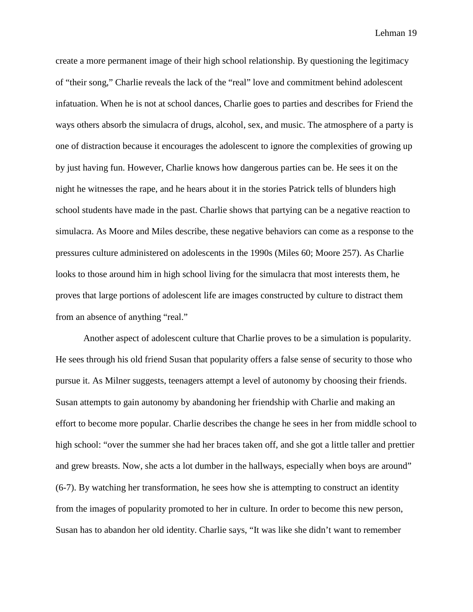create a more permanent image of their high school relationship. By questioning the legitimacy of "their song," Charlie reveals the lack of the "real" love and commitment behind adolescent infatuation. When he is not at school dances, Charlie goes to parties and describes for Friend the ways others absorb the simulacra of drugs, alcohol, sex, and music. The atmosphere of a party is one of distraction because it encourages the adolescent to ignore the complexities of growing up by just having fun. However, Charlie knows how dangerous parties can be. He sees it on the night he witnesses the rape, and he hears about it in the stories Patrick tells of blunders high school students have made in the past. Charlie shows that partying can be a negative reaction to simulacra. As Moore and Miles describe, these negative behaviors can come as a response to the pressures culture administered on adolescents in the 1990s (Miles 60; Moore 257). As Charlie looks to those around him in high school living for the simulacra that most interests them, he proves that large portions of adolescent life are images constructed by culture to distract them from an absence of anything "real."

Another aspect of adolescent culture that Charlie proves to be a simulation is popularity. He sees through his old friend Susan that popularity offers a false sense of security to those who pursue it. As Milner suggests, teenagers attempt a level of autonomy by choosing their friends. Susan attempts to gain autonomy by abandoning her friendship with Charlie and making an effort to become more popular. Charlie describes the change he sees in her from middle school to high school: "over the summer she had her braces taken off, and she got a little taller and prettier and grew breasts. Now, she acts a lot dumber in the hallways, especially when boys are around" (6-7). By watching her transformation, he sees how she is attempting to construct an identity from the images of popularity promoted to her in culture. In order to become this new person, Susan has to abandon her old identity. Charlie says, "It was like she didn't want to remember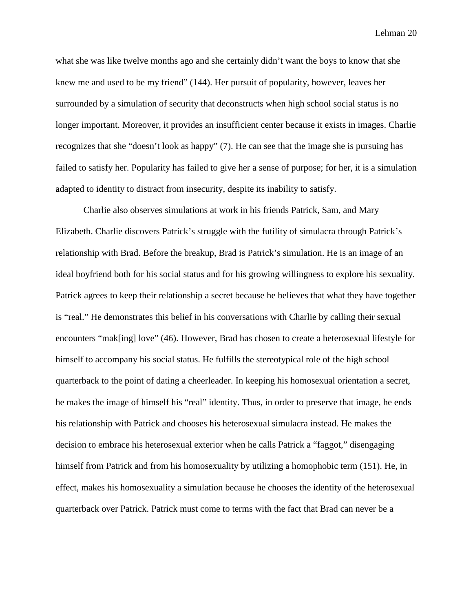what she was like twelve months ago and she certainly didn't want the boys to know that she knew me and used to be my friend" (144). Her pursuit of popularity, however, leaves her surrounded by a simulation of security that deconstructs when high school social status is no longer important. Moreover, it provides an insufficient center because it exists in images. Charlie recognizes that she "doesn't look as happy" (7). He can see that the image she is pursuing has failed to satisfy her. Popularity has failed to give her a sense of purpose; for her, it is a simulation adapted to identity to distract from insecurity, despite its inability to satisfy.

Charlie also observes simulations at work in his friends Patrick, Sam, and Mary Elizabeth. Charlie discovers Patrick's struggle with the futility of simulacra through Patrick's relationship with Brad. Before the breakup, Brad is Patrick's simulation. He is an image of an ideal boyfriend both for his social status and for his growing willingness to explore his sexuality. Patrick agrees to keep their relationship a secret because he believes that what they have together is "real." He demonstrates this belief in his conversations with Charlie by calling their sexual encounters "mak[ing] love" (46). However, Brad has chosen to create a heterosexual lifestyle for himself to accompany his social status. He fulfills the stereotypical role of the high school quarterback to the point of dating a cheerleader. In keeping his homosexual orientation a secret, he makes the image of himself his "real" identity. Thus, in order to preserve that image, he ends his relationship with Patrick and chooses his heterosexual simulacra instead. He makes the decision to embrace his heterosexual exterior when he calls Patrick a "faggot," disengaging himself from Patrick and from his homosexuality by utilizing a homophobic term (151). He, in effect, makes his homosexuality a simulation because he chooses the identity of the heterosexual quarterback over Patrick. Patrick must come to terms with the fact that Brad can never be a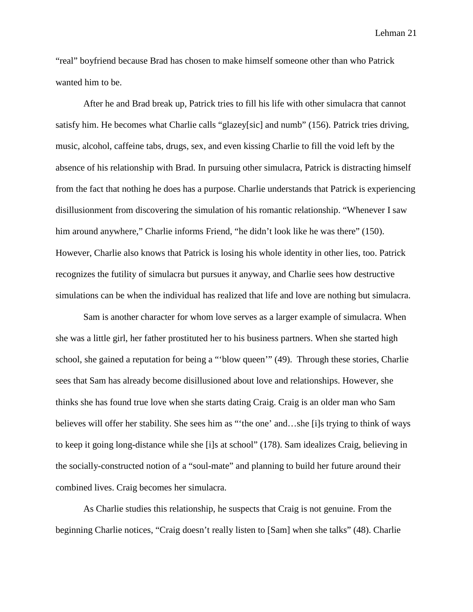"real" boyfriend because Brad has chosen to make himself someone other than who Patrick wanted him to be.

After he and Brad break up, Patrick tries to fill his life with other simulacra that cannot satisfy him. He becomes what Charlie calls "glazey[sic] and numb" (156). Patrick tries driving, music, alcohol, caffeine tabs, drugs, sex, and even kissing Charlie to fill the void left by the absence of his relationship with Brad. In pursuing other simulacra, Patrick is distracting himself from the fact that nothing he does has a purpose. Charlie understands that Patrick is experiencing disillusionment from discovering the simulation of his romantic relationship. "Whenever I saw him around anywhere," Charlie informs Friend, "he didn't look like he was there" (150). However, Charlie also knows that Patrick is losing his whole identity in other lies, too. Patrick recognizes the futility of simulacra but pursues it anyway, and Charlie sees how destructive simulations can be when the individual has realized that life and love are nothing but simulacra.

Sam is another character for whom love serves as a larger example of simulacra. When she was a little girl, her father prostituted her to his business partners. When she started high school, she gained a reputation for being a "'blow queen'" (49). Through these stories, Charlie sees that Sam has already become disillusioned about love and relationships. However, she thinks she has found true love when she starts dating Craig. Craig is an older man who Sam believes will offer her stability. She sees him as "'the one' and…she [i]s trying to think of ways to keep it going long-distance while she [i]s at school" (178). Sam idealizes Craig, believing in the socially-constructed notion of a "soul-mate" and planning to build her future around their combined lives. Craig becomes her simulacra.

As Charlie studies this relationship, he suspects that Craig is not genuine. From the beginning Charlie notices, "Craig doesn't really listen to [Sam] when she talks" (48). Charlie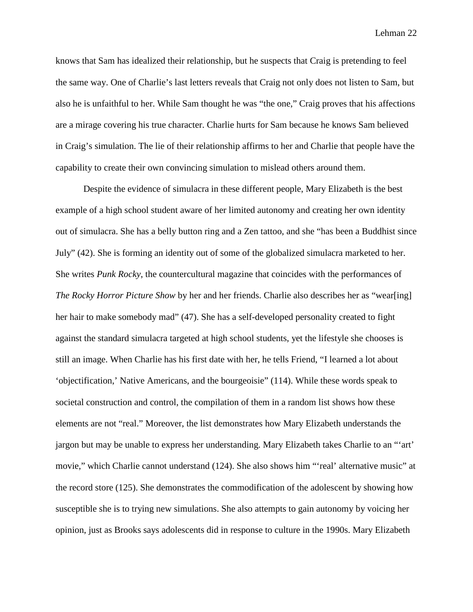knows that Sam has idealized their relationship, but he suspects that Craig is pretending to feel the same way. One of Charlie's last letters reveals that Craig not only does not listen to Sam, but also he is unfaithful to her. While Sam thought he was "the one," Craig proves that his affections are a mirage covering his true character. Charlie hurts for Sam because he knows Sam believed in Craig's simulation. The lie of their relationship affirms to her and Charlie that people have the capability to create their own convincing simulation to mislead others around them.

Despite the evidence of simulacra in these different people, Mary Elizabeth is the best example of a high school student aware of her limited autonomy and creating her own identity out of simulacra. She has a belly button ring and a Zen tattoo, and she "has been a Buddhist since July" (42). She is forming an identity out of some of the globalized simulacra marketed to her. She writes *Punk Rocky*, the countercultural magazine that coincides with the performances of *The Rocky Horror Picture Show* by her and her friends. Charlie also describes her as "wear[ing] her hair to make somebody mad" (47). She has a self-developed personality created to fight against the standard simulacra targeted at high school students, yet the lifestyle she chooses is still an image. When Charlie has his first date with her, he tells Friend, "I learned a lot about 'objectification,' Native Americans, and the bourgeoisie" (114). While these words speak to societal construction and control, the compilation of them in a random list shows how these elements are not "real." Moreover, the list demonstrates how Mary Elizabeth understands the jargon but may be unable to express her understanding. Mary Elizabeth takes Charlie to an "'art' movie," which Charlie cannot understand (124). She also shows him "'real' alternative music" at the record store (125). She demonstrates the commodification of the adolescent by showing how susceptible she is to trying new simulations. She also attempts to gain autonomy by voicing her opinion, just as Brooks says adolescents did in response to culture in the 1990s. Mary Elizabeth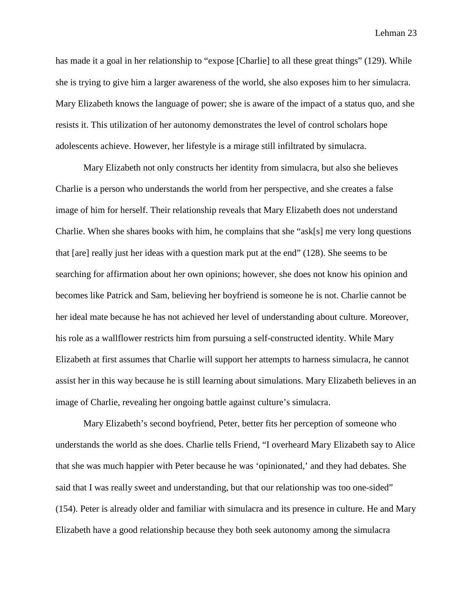has made it a goal in her relationship to "expose [Charlie] to all these great things" (129). While she is trying to give him a larger awareness of the world, she also exposes him to her simulacra. Mary Elizabeth knows the language of power; she is aware of the impact of a status quo, and she resists it. This utilization of her autonomy demonstrates the level of control scholars hope adolescents achieve. However, her lifestyle is a mirage still infiltrated by simulacra.

Mary Elizabeth not only constructs her identity from simulacra, but also she believes Charlie is a person who understands the world from her perspective, and she creates a false image of him for herself. Their relationship reveals that Mary Elizabeth does not understand Charlie. When she shares books with him, he complains that she "ask[s] me very long questions that [are] really just her ideas with a question mark put at the end" (128). She seems to be searching for affirmation about her own opinions; however, she does not know his opinion and becomes like Patrick and Sam, believing her boyfriend is someone he is not. Charlie cannot be her ideal mate because he has not achieved her level of understanding about culture. Moreover, his role as a wallflower restricts him from pursuing a self-constructed identity. While Mary Elizabeth at first assumes that Charlie will support her attempts to harness simulacra, he cannot assist her in this way because he is still learning about simulations. Mary Elizabeth believes in an image of Charlie, revealing her ongoing battle against culture's simulacra.

Mary Elizabeth's second boyfriend, Peter, better fits her perception of someone who understands the world as she does. Charlie tells Friend, "I overheard Mary Elizabeth say to Alice that she was much happier with Peter because he was 'opinionated,' and they had debates. She said that I was really sweet and understanding, but that our relationship was too one-sided" (154). Peter is already older and familiar with simulacra and its presence in culture. He and Mary Elizabeth have a good relationship because they both seek autonomy among the simulacra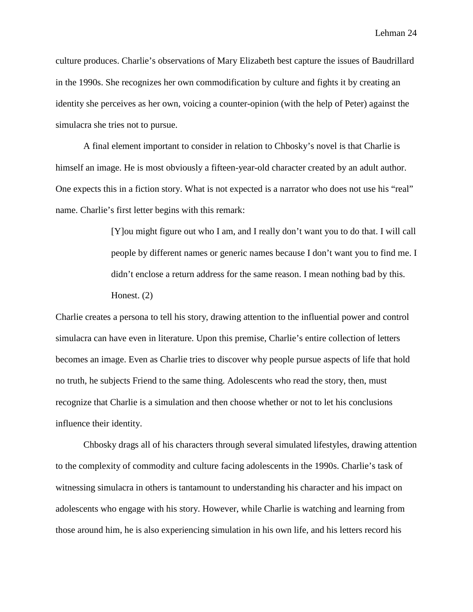culture produces. Charlie's observations of Mary Elizabeth best capture the issues of Baudrillard in the 1990s. She recognizes her own commodification by culture and fights it by creating an identity she perceives as her own, voicing a counter-opinion (with the help of Peter) against the simulacra she tries not to pursue.

A final element important to consider in relation to Chbosky's novel is that Charlie is himself an image. He is most obviously a fifteen-year-old character created by an adult author. One expects this in a fiction story. What is not expected is a narrator who does not use his "real" name. Charlie's first letter begins with this remark:

> [Y]ou might figure out who I am, and I really don't want you to do that. I will call people by different names or generic names because I don't want you to find me. I didn't enclose a return address for the same reason. I mean nothing bad by this. Honest. (2)

Charlie creates a persona to tell his story, drawing attention to the influential power and control simulacra can have even in literature. Upon this premise, Charlie's entire collection of letters becomes an image. Even as Charlie tries to discover why people pursue aspects of life that hold no truth, he subjects Friend to the same thing. Adolescents who read the story, then, must recognize that Charlie is a simulation and then choose whether or not to let his conclusions influence their identity.

Chbosky drags all of his characters through several simulated lifestyles, drawing attention to the complexity of commodity and culture facing adolescents in the 1990s. Charlie's task of witnessing simulacra in others is tantamount to understanding his character and his impact on adolescents who engage with his story. However, while Charlie is watching and learning from those around him, he is also experiencing simulation in his own life, and his letters record his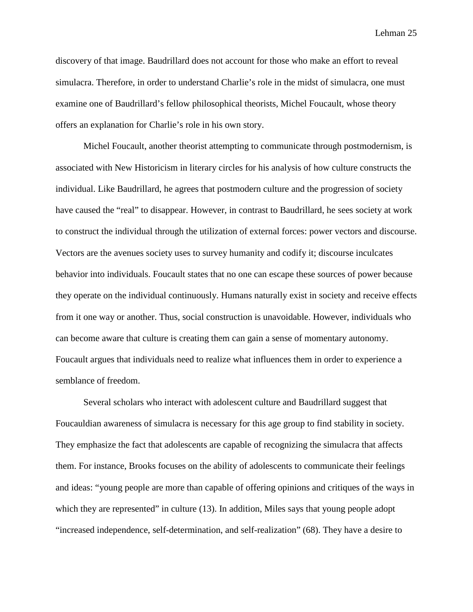discovery of that image. Baudrillard does not account for those who make an effort to reveal simulacra. Therefore, in order to understand Charlie's role in the midst of simulacra, one must examine one of Baudrillard's fellow philosophical theorists, Michel Foucault, whose theory offers an explanation for Charlie's role in his own story.

Michel Foucault, another theorist attempting to communicate through postmodernism, is associated with New Historicism in literary circles for his analysis of how culture constructs the individual. Like Baudrillard, he agrees that postmodern culture and the progression of society have caused the "real" to disappear. However, in contrast to Baudrillard, he sees society at work to construct the individual through the utilization of external forces: power vectors and discourse. Vectors are the avenues society uses to survey humanity and codify it; discourse inculcates behavior into individuals. Foucault states that no one can escape these sources of power because they operate on the individual continuously. Humans naturally exist in society and receive effects from it one way or another. Thus, social construction is unavoidable. However, individuals who can become aware that culture is creating them can gain a sense of momentary autonomy. Foucault argues that individuals need to realize what influences them in order to experience a semblance of freedom.

Several scholars who interact with adolescent culture and Baudrillard suggest that Foucauldian awareness of simulacra is necessary for this age group to find stability in society. They emphasize the fact that adolescents are capable of recognizing the simulacra that affects them. For instance, Brooks focuses on the ability of adolescents to communicate their feelings and ideas: "young people are more than capable of offering opinions and critiques of the ways in which they are represented" in culture (13). In addition, Miles says that young people adopt "increased independence, self-determination, and self-realization" (68). They have a desire to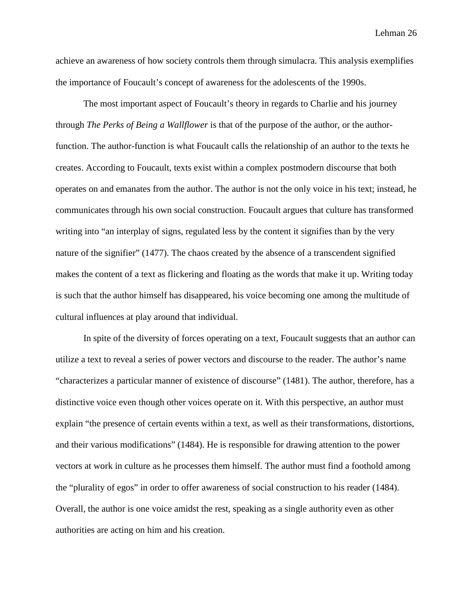achieve an awareness of how society controls them through simulacra. This analysis exemplifies the importance of Foucault's concept of awareness for the adolescents of the 1990s.

The most important aspect of Foucault's theory in regards to Charlie and his journey through *The Perks of Being a Wallflower* is that of the purpose of the author, or the authorfunction. The author-function is what Foucault calls the relationship of an author to the texts he creates. According to Foucault, texts exist within a complex postmodern discourse that both operates on and emanates from the author. The author is not the only voice in his text; instead, he communicates through his own social construction. Foucault argues that culture has transformed writing into "an interplay of signs, regulated less by the content it signifies than by the very nature of the signifier" (1477). The chaos created by the absence of a transcendent signified makes the content of a text as flickering and floating as the words that make it up. Writing today is such that the author himself has disappeared, his voice becoming one among the multitude of cultural influences at play around that individual.

In spite of the diversity of forces operating on a text, Foucault suggests that an author can utilize a text to reveal a series of power vectors and discourse to the reader. The author's name "characterizes a particular manner of existence of discourse" (1481). The author, therefore, has a distinctive voice even though other voices operate on it. With this perspective, an author must explain "the presence of certain events within a text, as well as their transformations, distortions, and their various modifications" (1484). He is responsible for drawing attention to the power vectors at work in culture as he processes them himself. The author must find a foothold among the "plurality of egos" in order to offer awareness of social construction to his reader (1484). Overall, the author is one voice amidst the rest, speaking as a single authority even as other authorities are acting on him and his creation.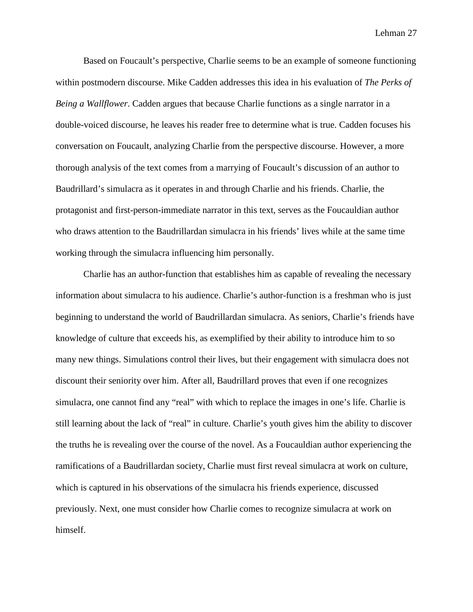Based on Foucault's perspective, Charlie seems to be an example of someone functioning within postmodern discourse. Mike Cadden addresses this idea in his evaluation of *The Perks of Being a Wallflower*. Cadden argues that because Charlie functions as a single narrator in a double-voiced discourse, he leaves his reader free to determine what is true. Cadden focuses his conversation on Foucault, analyzing Charlie from the perspective discourse. However, a more thorough analysis of the text comes from a marrying of Foucault's discussion of an author to Baudrillard's simulacra as it operates in and through Charlie and his friends. Charlie, the protagonist and first-person-immediate narrator in this text, serves as the Foucauldian author who draws attention to the Baudrillardan simulacra in his friends' lives while at the same time working through the simulacra influencing him personally.

Charlie has an author-function that establishes him as capable of revealing the necessary information about simulacra to his audience. Charlie's author-function is a freshman who is just beginning to understand the world of Baudrillardan simulacra. As seniors, Charlie's friends have knowledge of culture that exceeds his, as exemplified by their ability to introduce him to so many new things. Simulations control their lives, but their engagement with simulacra does not discount their seniority over him. After all, Baudrillard proves that even if one recognizes simulacra, one cannot find any "real" with which to replace the images in one's life. Charlie is still learning about the lack of "real" in culture. Charlie's youth gives him the ability to discover the truths he is revealing over the course of the novel. As a Foucauldian author experiencing the ramifications of a Baudrillardan society, Charlie must first reveal simulacra at work on culture, which is captured in his observations of the simulacra his friends experience, discussed previously. Next, one must consider how Charlie comes to recognize simulacra at work on himself.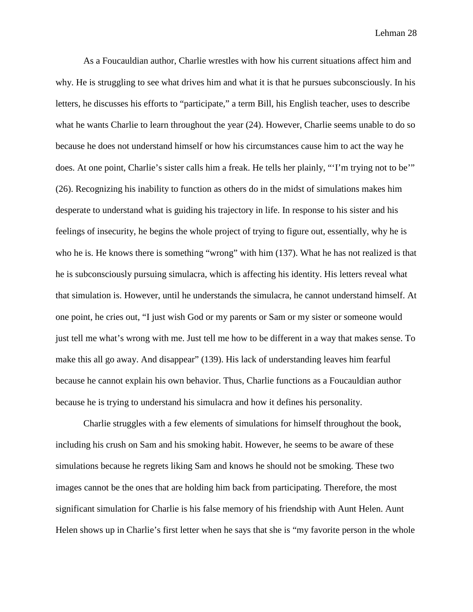As a Foucauldian author, Charlie wrestles with how his current situations affect him and why. He is struggling to see what drives him and what it is that he pursues subconsciously. In his letters, he discusses his efforts to "participate," a term Bill, his English teacher, uses to describe what he wants Charlie to learn throughout the year (24). However, Charlie seems unable to do so because he does not understand himself or how his circumstances cause him to act the way he does. At one point, Charlie's sister calls him a freak. He tells her plainly, "'I'm trying not to be'" (26). Recognizing his inability to function as others do in the midst of simulations makes him desperate to understand what is guiding his trajectory in life. In response to his sister and his feelings of insecurity, he begins the whole project of trying to figure out, essentially, why he is who he is. He knows there is something "wrong" with him (137). What he has not realized is that he is subconsciously pursuing simulacra, which is affecting his identity. His letters reveal what that simulation is. However, until he understands the simulacra, he cannot understand himself. At one point, he cries out, "I just wish God or my parents or Sam or my sister or someone would just tell me what's wrong with me. Just tell me how to be different in a way that makes sense. To make this all go away. And disappear" (139). His lack of understanding leaves him fearful because he cannot explain his own behavior. Thus, Charlie functions as a Foucauldian author because he is trying to understand his simulacra and how it defines his personality.

Charlie struggles with a few elements of simulations for himself throughout the book, including his crush on Sam and his smoking habit. However, he seems to be aware of these simulations because he regrets liking Sam and knows he should not be smoking. These two images cannot be the ones that are holding him back from participating. Therefore, the most significant simulation for Charlie is his false memory of his friendship with Aunt Helen. Aunt Helen shows up in Charlie's first letter when he says that she is "my favorite person in the whole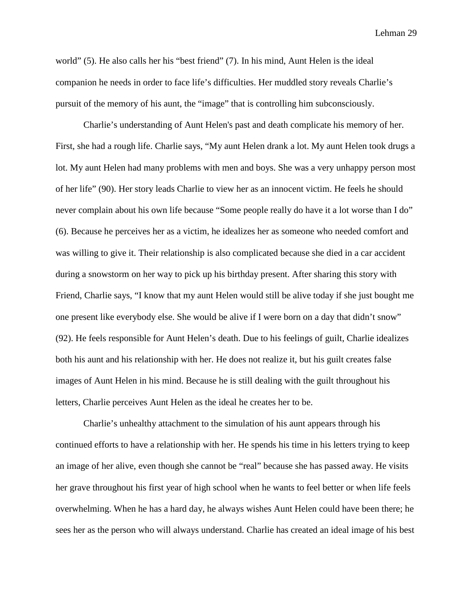world" (5). He also calls her his "best friend" (7). In his mind, Aunt Helen is the ideal companion he needs in order to face life's difficulties. Her muddled story reveals Charlie's pursuit of the memory of his aunt, the "image" that is controlling him subconsciously.

Charlie's understanding of Aunt Helen's past and death complicate his memory of her. First, she had a rough life. Charlie says, "My aunt Helen drank a lot. My aunt Helen took drugs a lot. My aunt Helen had many problems with men and boys. She was a very unhappy person most of her life" (90). Her story leads Charlie to view her as an innocent victim. He feels he should never complain about his own life because "Some people really do have it a lot worse than I do" (6). Because he perceives her as a victim, he idealizes her as someone who needed comfort and was willing to give it. Their relationship is also complicated because she died in a car accident during a snowstorm on her way to pick up his birthday present. After sharing this story with Friend, Charlie says, "I know that my aunt Helen would still be alive today if she just bought me one present like everybody else. She would be alive if I were born on a day that didn't snow" (92). He feels responsible for Aunt Helen's death. Due to his feelings of guilt, Charlie idealizes both his aunt and his relationship with her. He does not realize it, but his guilt creates false images of Aunt Helen in his mind. Because he is still dealing with the guilt throughout his letters, Charlie perceives Aunt Helen as the ideal he creates her to be.

Charlie's unhealthy attachment to the simulation of his aunt appears through his continued efforts to have a relationship with her. He spends his time in his letters trying to keep an image of her alive, even though she cannot be "real" because she has passed away. He visits her grave throughout his first year of high school when he wants to feel better or when life feels overwhelming. When he has a hard day, he always wishes Aunt Helen could have been there; he sees her as the person who will always understand. Charlie has created an ideal image of his best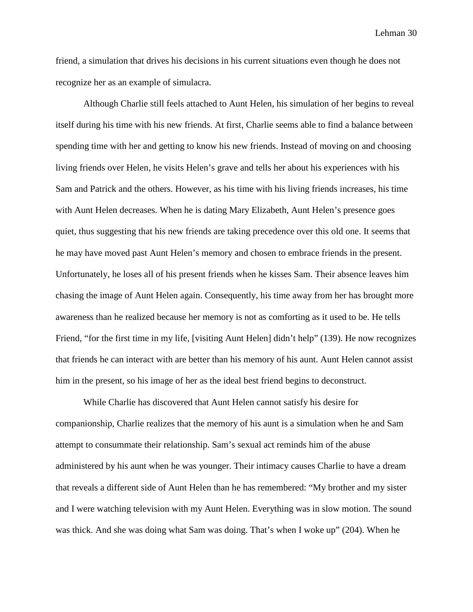friend, a simulation that drives his decisions in his current situations even though he does not recognize her as an example of simulacra.

Although Charlie still feels attached to Aunt Helen, his simulation of her begins to reveal itself during his time with his new friends. At first, Charlie seems able to find a balance between spending time with her and getting to know his new friends. Instead of moving on and choosing living friends over Helen, he visits Helen's grave and tells her about his experiences with his Sam and Patrick and the others. However, as his time with his living friends increases, his time with Aunt Helen decreases. When he is dating Mary Elizabeth, Aunt Helen's presence goes quiet, thus suggesting that his new friends are taking precedence over this old one. It seems that he may have moved past Aunt Helen's memory and chosen to embrace friends in the present. Unfortunately, he loses all of his present friends when he kisses Sam. Their absence leaves him chasing the image of Aunt Helen again. Consequently, his time away from her has brought more awareness than he realized because her memory is not as comforting as it used to be. He tells Friend, "for the first time in my life, [visiting Aunt Helen] didn't help" (139). He now recognizes that friends he can interact with are better than his memory of his aunt. Aunt Helen cannot assist him in the present, so his image of her as the ideal best friend begins to deconstruct.

While Charlie has discovered that Aunt Helen cannot satisfy his desire for companionship, Charlie realizes that the memory of his aunt is a simulation when he and Sam attempt to consummate their relationship. Sam's sexual act reminds him of the abuse administered by his aunt when he was younger. Their intimacy causes Charlie to have a dream that reveals a different side of Aunt Helen than he has remembered: "My brother and my sister and I were watching television with my Aunt Helen. Everything was in slow motion. The sound was thick. And she was doing what Sam was doing. That's when I woke up" (204). When he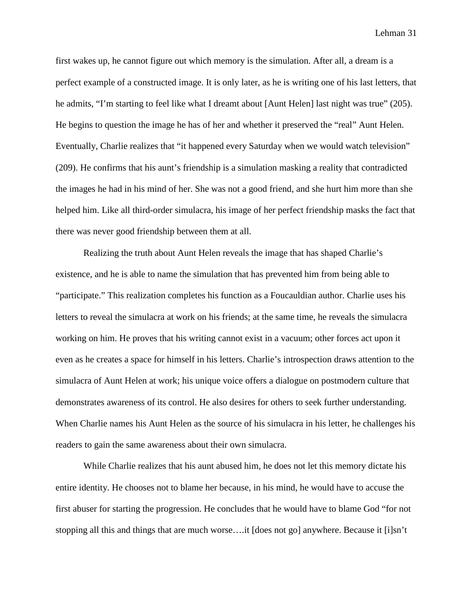first wakes up, he cannot figure out which memory is the simulation. After all, a dream is a perfect example of a constructed image. It is only later, as he is writing one of his last letters, that he admits, "I'm starting to feel like what I dreamt about [Aunt Helen] last night was true" (205). He begins to question the image he has of her and whether it preserved the "real" Aunt Helen. Eventually, Charlie realizes that "it happened every Saturday when we would watch television" (209). He confirms that his aunt's friendship is a simulation masking a reality that contradicted the images he had in his mind of her. She was not a good friend, and she hurt him more than she helped him. Like all third-order simulacra, his image of her perfect friendship masks the fact that there was never good friendship between them at all.

Realizing the truth about Aunt Helen reveals the image that has shaped Charlie's existence, and he is able to name the simulation that has prevented him from being able to "participate." This realization completes his function as a Foucauldian author. Charlie uses his letters to reveal the simulacra at work on his friends; at the same time, he reveals the simulacra working on him. He proves that his writing cannot exist in a vacuum; other forces act upon it even as he creates a space for himself in his letters. Charlie's introspection draws attention to the simulacra of Aunt Helen at work; his unique voice offers a dialogue on postmodern culture that demonstrates awareness of its control. He also desires for others to seek further understanding. When Charlie names his Aunt Helen as the source of his simulacra in his letter, he challenges his readers to gain the same awareness about their own simulacra.

While Charlie realizes that his aunt abused him, he does not let this memory dictate his entire identity. He chooses not to blame her because, in his mind, he would have to accuse the first abuser for starting the progression. He concludes that he would have to blame God "for not stopping all this and things that are much worse….it [does not go] anywhere. Because it [i]sn't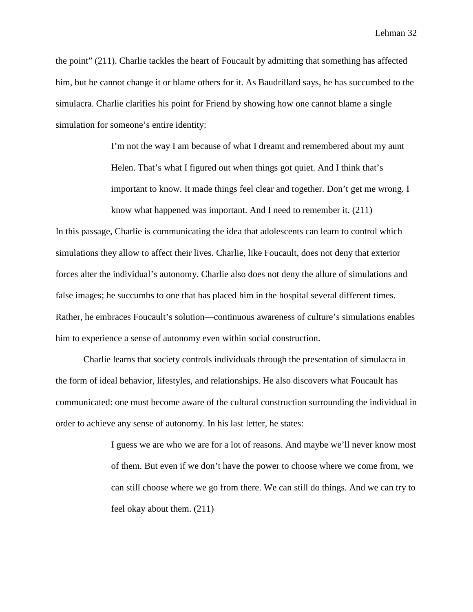the point" (211). Charlie tackles the heart of Foucault by admitting that something has affected him, but he cannot change it or blame others for it. As Baudrillard says, he has succumbed to the simulacra. Charlie clarifies his point for Friend by showing how one cannot blame a single simulation for someone's entire identity:

> I'm not the way I am because of what I dreamt and remembered about my aunt Helen. That's what I figured out when things got quiet. And I think that's important to know. It made things feel clear and together. Don't get me wrong. I know what happened was important. And I need to remember it. (211)

In this passage, Charlie is communicating the idea that adolescents can learn to control which simulations they allow to affect their lives. Charlie, like Foucault, does not deny that exterior forces alter the individual's autonomy. Charlie also does not deny the allure of simulations and false images; he succumbs to one that has placed him in the hospital several different times. Rather, he embraces Foucault's solution—continuous awareness of culture's simulations enables him to experience a sense of autonomy even within social construction.

Charlie learns that society controls individuals through the presentation of simulacra in the form of ideal behavior, lifestyles, and relationships. He also discovers what Foucault has communicated: one must become aware of the cultural construction surrounding the individual in order to achieve any sense of autonomy. In his last letter, he states:

> I guess we are who we are for a lot of reasons. And maybe we'll never know most of them. But even if we don't have the power to choose where we come from, we can still choose where we go from there. We can still do things. And we can try to feel okay about them. (211)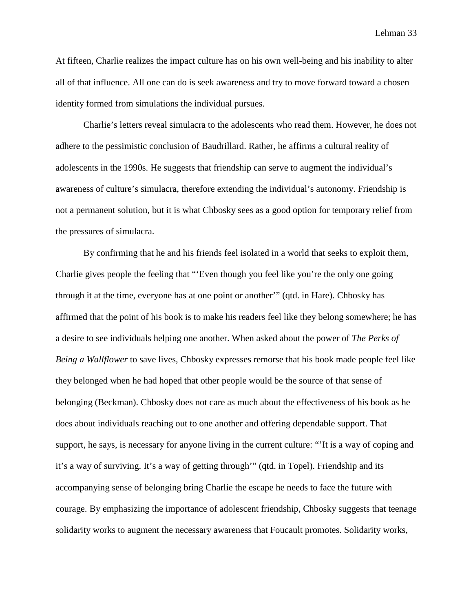At fifteen, Charlie realizes the impact culture has on his own well-being and his inability to alter all of that influence. All one can do is seek awareness and try to move forward toward a chosen identity formed from simulations the individual pursues.

Charlie's letters reveal simulacra to the adolescents who read them. However, he does not adhere to the pessimistic conclusion of Baudrillard. Rather, he affirms a cultural reality of adolescents in the 1990s. He suggests that friendship can serve to augment the individual's awareness of culture's simulacra, therefore extending the individual's autonomy. Friendship is not a permanent solution, but it is what Chbosky sees as a good option for temporary relief from the pressures of simulacra.

By confirming that he and his friends feel isolated in a world that seeks to exploit them, Charlie gives people the feeling that "'Even though you feel like you're the only one going through it at the time, everyone has at one point or another'" (qtd. in Hare). Chbosky has affirmed that the point of his book is to make his readers feel like they belong somewhere; he has a desire to see individuals helping one another. When asked about the power of *The Perks of Being a Wallflower* to save lives, Chbosky expresses remorse that his book made people feel like they belonged when he had hoped that other people would be the source of that sense of belonging (Beckman). Chbosky does not care as much about the effectiveness of his book as he does about individuals reaching out to one another and offering dependable support. That support, he says, is necessary for anyone living in the current culture: "'It is a way of coping and it's a way of surviving. It's a way of getting through'" (qtd. in Topel). Friendship and its accompanying sense of belonging bring Charlie the escape he needs to face the future with courage. By emphasizing the importance of adolescent friendship, Chbosky suggests that teenage solidarity works to augment the necessary awareness that Foucault promotes. Solidarity works,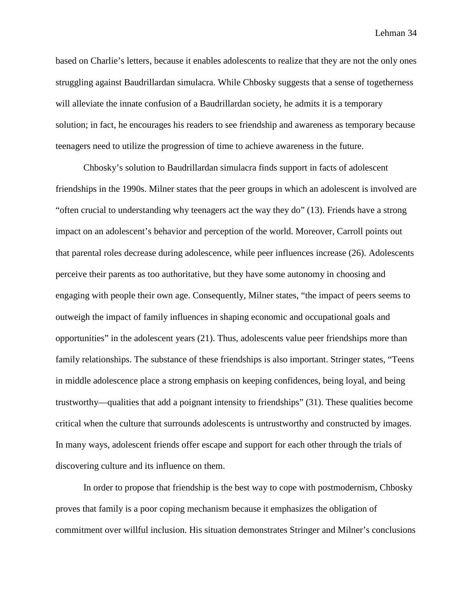based on Charlie's letters, because it enables adolescents to realize that they are not the only ones struggling against Baudrillardan simulacra. While Chbosky suggests that a sense of togetherness will alleviate the innate confusion of a Baudrillardan society, he admits it is a temporary solution; in fact, he encourages his readers to see friendship and awareness as temporary because teenagers need to utilize the progression of time to achieve awareness in the future.

Chbosky's solution to Baudrillardan simulacra finds support in facts of adolescent friendships in the 1990s. Milner states that the peer groups in which an adolescent is involved are "often crucial to understanding why teenagers act the way they do" (13). Friends have a strong impact on an adolescent's behavior and perception of the world. Moreover, Carroll points out that parental roles decrease during adolescence, while peer influences increase (26). Adolescents perceive their parents as too authoritative, but they have some autonomy in choosing and engaging with people their own age. Consequently, Milner states, "the impact of peers seems to outweigh the impact of family influences in shaping economic and occupational goals and opportunities" in the adolescent years (21). Thus, adolescents value peer friendships more than family relationships. The substance of these friendships is also important. Stringer states, "Teens in middle adolescence place a strong emphasis on keeping confidences, being loyal, and being trustworthy—qualities that add a poignant intensity to friendships" (31). These qualities become critical when the culture that surrounds adolescents is untrustworthy and constructed by images. In many ways, adolescent friends offer escape and support for each other through the trials of discovering culture and its influence on them.

In order to propose that friendship is the best way to cope with postmodernism, Chbosky proves that family is a poor coping mechanism because it emphasizes the obligation of commitment over willful inclusion. His situation demonstrates Stringer and Milner's conclusions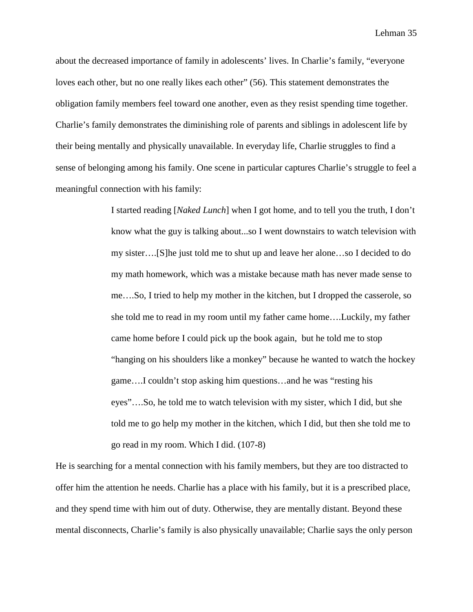about the decreased importance of family in adolescents' lives. In Charlie's family, "everyone loves each other, but no one really likes each other" (56). This statement demonstrates the obligation family members feel toward one another, even as they resist spending time together. Charlie's family demonstrates the diminishing role of parents and siblings in adolescent life by their being mentally and physically unavailable. In everyday life, Charlie struggles to find a sense of belonging among his family. One scene in particular captures Charlie's struggle to feel a meaningful connection with his family:

> I started reading [*Naked Lunch*] when I got home, and to tell you the truth, I don't know what the guy is talking about...so I went downstairs to watch television with my sister….[S]he just told me to shut up and leave her alone…so I decided to do my math homework, which was a mistake because math has never made sense to me….So, I tried to help my mother in the kitchen, but I dropped the casserole, so she told me to read in my room until my father came home….Luckily, my father came home before I could pick up the book again, but he told me to stop "hanging on his shoulders like a monkey" because he wanted to watch the hockey game….I couldn't stop asking him questions…and he was "resting his eyes"….So, he told me to watch television with my sister, which I did, but she told me to go help my mother in the kitchen, which I did, but then she told me to go read in my room. Which I did. (107-8)

He is searching for a mental connection with his family members, but they are too distracted to offer him the attention he needs. Charlie has a place with his family, but it is a prescribed place, and they spend time with him out of duty. Otherwise, they are mentally distant. Beyond these mental disconnects, Charlie's family is also physically unavailable; Charlie says the only person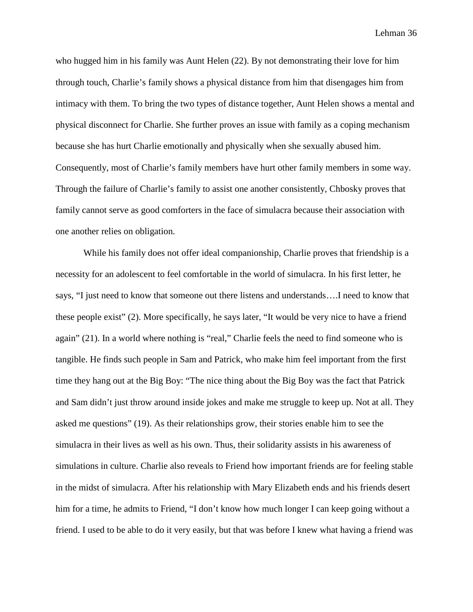who hugged him in his family was Aunt Helen (22). By not demonstrating their love for him through touch, Charlie's family shows a physical distance from him that disengages him from intimacy with them. To bring the two types of distance together, Aunt Helen shows a mental and physical disconnect for Charlie. She further proves an issue with family as a coping mechanism because she has hurt Charlie emotionally and physically when she sexually abused him. Consequently, most of Charlie's family members have hurt other family members in some way. Through the failure of Charlie's family to assist one another consistently, Chbosky proves that family cannot serve as good comforters in the face of simulacra because their association with one another relies on obligation.

While his family does not offer ideal companionship, Charlie proves that friendship is a necessity for an adolescent to feel comfortable in the world of simulacra. In his first letter, he says, "I just need to know that someone out there listens and understands….I need to know that these people exist" (2). More specifically, he says later, "It would be very nice to have a friend again" (21). In a world where nothing is "real," Charlie feels the need to find someone who is tangible. He finds such people in Sam and Patrick, who make him feel important from the first time they hang out at the Big Boy: "The nice thing about the Big Boy was the fact that Patrick and Sam didn't just throw around inside jokes and make me struggle to keep up. Not at all. They asked me questions" (19). As their relationships grow, their stories enable him to see the simulacra in their lives as well as his own. Thus, their solidarity assists in his awareness of simulations in culture. Charlie also reveals to Friend how important friends are for feeling stable in the midst of simulacra. After his relationship with Mary Elizabeth ends and his friends desert him for a time, he admits to Friend, "I don't know how much longer I can keep going without a friend. I used to be able to do it very easily, but that was before I knew what having a friend was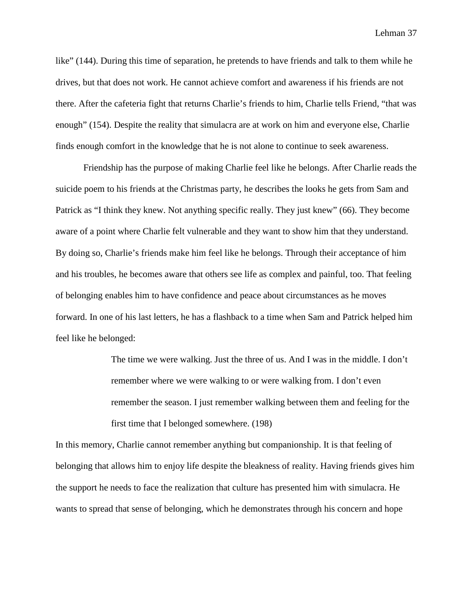like" (144). During this time of separation, he pretends to have friends and talk to them while he drives, but that does not work. He cannot achieve comfort and awareness if his friends are not there. After the cafeteria fight that returns Charlie's friends to him, Charlie tells Friend, "that was enough" (154). Despite the reality that simulacra are at work on him and everyone else, Charlie finds enough comfort in the knowledge that he is not alone to continue to seek awareness.

Friendship has the purpose of making Charlie feel like he belongs. After Charlie reads the suicide poem to his friends at the Christmas party, he describes the looks he gets from Sam and Patrick as "I think they knew. Not anything specific really. They just knew" (66). They become aware of a point where Charlie felt vulnerable and they want to show him that they understand. By doing so, Charlie's friends make him feel like he belongs. Through their acceptance of him and his troubles, he becomes aware that others see life as complex and painful, too. That feeling of belonging enables him to have confidence and peace about circumstances as he moves forward. In one of his last letters, he has a flashback to a time when Sam and Patrick helped him feel like he belonged:

> The time we were walking. Just the three of us. And I was in the middle. I don't remember where we were walking to or were walking from. I don't even remember the season. I just remember walking between them and feeling for the first time that I belonged somewhere. (198)

In this memory, Charlie cannot remember anything but companionship. It is that feeling of belonging that allows him to enjoy life despite the bleakness of reality. Having friends gives him the support he needs to face the realization that culture has presented him with simulacra. He wants to spread that sense of belonging, which he demonstrates through his concern and hope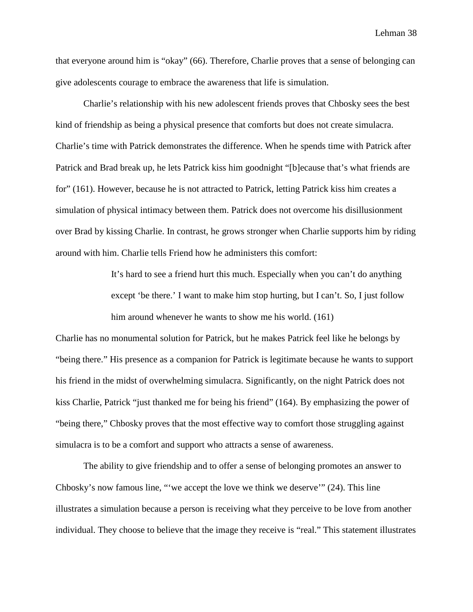that everyone around him is "okay" (66). Therefore, Charlie proves that a sense of belonging can give adolescents courage to embrace the awareness that life is simulation.

Charlie's relationship with his new adolescent friends proves that Chbosky sees the best kind of friendship as being a physical presence that comforts but does not create simulacra. Charlie's time with Patrick demonstrates the difference. When he spends time with Patrick after Patrick and Brad break up, he lets Patrick kiss him goodnight "[b]ecause that's what friends are for" (161). However, because he is not attracted to Patrick, letting Patrick kiss him creates a simulation of physical intimacy between them. Patrick does not overcome his disillusionment over Brad by kissing Charlie. In contrast, he grows stronger when Charlie supports him by riding around with him. Charlie tells Friend how he administers this comfort:

> It's hard to see a friend hurt this much. Especially when you can't do anything except 'be there.' I want to make him stop hurting, but I can't. So, I just follow him around whenever he wants to show me his world. (161)

Charlie has no monumental solution for Patrick, but he makes Patrick feel like he belongs by "being there." His presence as a companion for Patrick is legitimate because he wants to support his friend in the midst of overwhelming simulacra. Significantly, on the night Patrick does not kiss Charlie, Patrick "just thanked me for being his friend" (164). By emphasizing the power of "being there," Chbosky proves that the most effective way to comfort those struggling against simulacra is to be a comfort and support who attracts a sense of awareness.

The ability to give friendship and to offer a sense of belonging promotes an answer to Chbosky's now famous line, "'we accept the love we think we deserve'" (24). This line illustrates a simulation because a person is receiving what they perceive to be love from another individual. They choose to believe that the image they receive is "real." This statement illustrates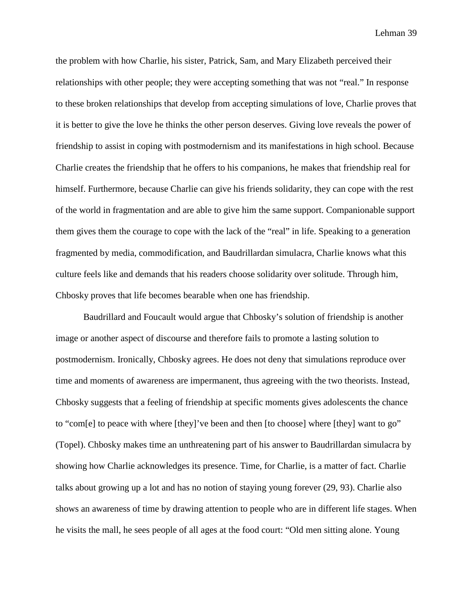the problem with how Charlie, his sister, Patrick, Sam, and Mary Elizabeth perceived their relationships with other people; they were accepting something that was not "real." In response to these broken relationships that develop from accepting simulations of love, Charlie proves that it is better to give the love he thinks the other person deserves. Giving love reveals the power of friendship to assist in coping with postmodernism and its manifestations in high school. Because Charlie creates the friendship that he offers to his companions, he makes that friendship real for himself. Furthermore, because Charlie can give his friends solidarity, they can cope with the rest of the world in fragmentation and are able to give him the same support. Companionable support them gives them the courage to cope with the lack of the "real" in life. Speaking to a generation fragmented by media, commodification, and Baudrillardan simulacra, Charlie knows what this culture feels like and demands that his readers choose solidarity over solitude. Through him, Chbosky proves that life becomes bearable when one has friendship.

Baudrillard and Foucault would argue that Chbosky's solution of friendship is another image or another aspect of discourse and therefore fails to promote a lasting solution to postmodernism. Ironically, Chbosky agrees. He does not deny that simulations reproduce over time and moments of awareness are impermanent, thus agreeing with the two theorists. Instead, Chbosky suggests that a feeling of friendship at specific moments gives adolescents the chance to "com[e] to peace with where [they]'ve been and then [to choose] where [they] want to go" (Topel). Chbosky makes time an unthreatening part of his answer to Baudrillardan simulacra by showing how Charlie acknowledges its presence. Time, for Charlie, is a matter of fact. Charlie talks about growing up a lot and has no notion of staying young forever (29, 93). Charlie also shows an awareness of time by drawing attention to people who are in different life stages. When he visits the mall, he sees people of all ages at the food court: "Old men sitting alone. Young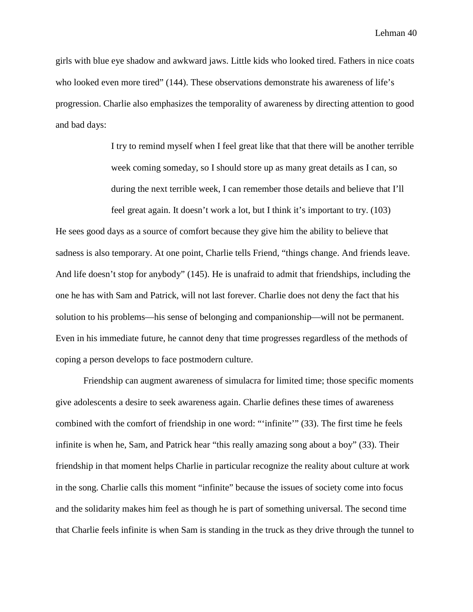girls with blue eye shadow and awkward jaws. Little kids who looked tired. Fathers in nice coats who looked even more tired" (144). These observations demonstrate his awareness of life's progression. Charlie also emphasizes the temporality of awareness by directing attention to good and bad days:

> I try to remind myself when I feel great like that that there will be another terrible week coming someday, so I should store up as many great details as I can, so during the next terrible week, I can remember those details and believe that I'll

feel great again. It doesn't work a lot, but I think it's important to try. (103)

He sees good days as a source of comfort because they give him the ability to believe that sadness is also temporary. At one point, Charlie tells Friend, "things change. And friends leave. And life doesn't stop for anybody" (145). He is unafraid to admit that friendships, including the one he has with Sam and Patrick, will not last forever. Charlie does not deny the fact that his solution to his problems—his sense of belonging and companionship—will not be permanent. Even in his immediate future, he cannot deny that time progresses regardless of the methods of coping a person develops to face postmodern culture.

Friendship can augment awareness of simulacra for limited time; those specific moments give adolescents a desire to seek awareness again. Charlie defines these times of awareness combined with the comfort of friendship in one word: "'infinite'" (33). The first time he feels infinite is when he, Sam, and Patrick hear "this really amazing song about a boy" (33). Their friendship in that moment helps Charlie in particular recognize the reality about culture at work in the song. Charlie calls this moment "infinite" because the issues of society come into focus and the solidarity makes him feel as though he is part of something universal. The second time that Charlie feels infinite is when Sam is standing in the truck as they drive through the tunnel to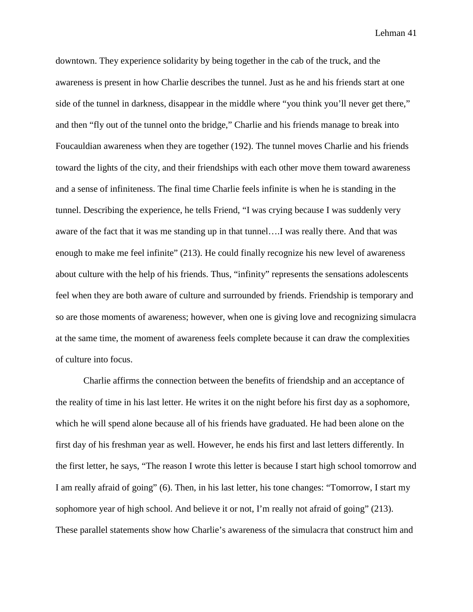downtown. They experience solidarity by being together in the cab of the truck, and the awareness is present in how Charlie describes the tunnel. Just as he and his friends start at one side of the tunnel in darkness, disappear in the middle where "you think you'll never get there," and then "fly out of the tunnel onto the bridge," Charlie and his friends manage to break into Foucauldian awareness when they are together (192). The tunnel moves Charlie and his friends toward the lights of the city, and their friendships with each other move them toward awareness and a sense of infiniteness. The final time Charlie feels infinite is when he is standing in the tunnel. Describing the experience, he tells Friend, "I was crying because I was suddenly very aware of the fact that it was me standing up in that tunnel….I was really there. And that was enough to make me feel infinite" (213). He could finally recognize his new level of awareness about culture with the help of his friends. Thus, "infinity" represents the sensations adolescents feel when they are both aware of culture and surrounded by friends. Friendship is temporary and so are those moments of awareness; however, when one is giving love and recognizing simulacra at the same time, the moment of awareness feels complete because it can draw the complexities of culture into focus.

Charlie affirms the connection between the benefits of friendship and an acceptance of the reality of time in his last letter. He writes it on the night before his first day as a sophomore, which he will spend alone because all of his friends have graduated. He had been alone on the first day of his freshman year as well. However, he ends his first and last letters differently. In the first letter, he says, "The reason I wrote this letter is because I start high school tomorrow and I am really afraid of going" (6). Then, in his last letter, his tone changes: "Tomorrow, I start my sophomore year of high school. And believe it or not, I'm really not afraid of going" (213). These parallel statements show how Charlie's awareness of the simulacra that construct him and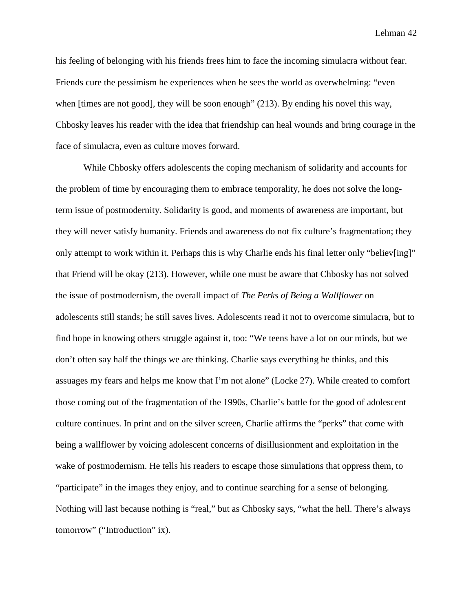his feeling of belonging with his friends frees him to face the incoming simulacra without fear. Friends cure the pessimism he experiences when he sees the world as overwhelming: "even when [times are not good], they will be soon enough" (213). By ending his novel this way, Chbosky leaves his reader with the idea that friendship can heal wounds and bring courage in the face of simulacra, even as culture moves forward.

While Chbosky offers adolescents the coping mechanism of solidarity and accounts for the problem of time by encouraging them to embrace temporality, he does not solve the longterm issue of postmodernity. Solidarity is good, and moments of awareness are important, but they will never satisfy humanity. Friends and awareness do not fix culture's fragmentation; they only attempt to work within it. Perhaps this is why Charlie ends his final letter only "believ[ing]" that Friend will be okay (213). However, while one must be aware that Chbosky has not solved the issue of postmodernism, the overall impact of *The Perks of Being a Wallflower* on adolescents still stands; he still saves lives. Adolescents read it not to overcome simulacra, but to find hope in knowing others struggle against it, too: "We teens have a lot on our minds, but we don't often say half the things we are thinking. Charlie says everything he thinks, and this assuages my fears and helps me know that I'm not alone" (Locke 27). While created to comfort those coming out of the fragmentation of the 1990s, Charlie's battle for the good of adolescent culture continues. In print and on the silver screen, Charlie affirms the "perks" that come with being a wallflower by voicing adolescent concerns of disillusionment and exploitation in the wake of postmodernism. He tells his readers to escape those simulations that oppress them, to "participate" in the images they enjoy, and to continue searching for a sense of belonging. Nothing will last because nothing is "real," but as Chbosky says, "what the hell. There's always tomorrow" ("Introduction" ix).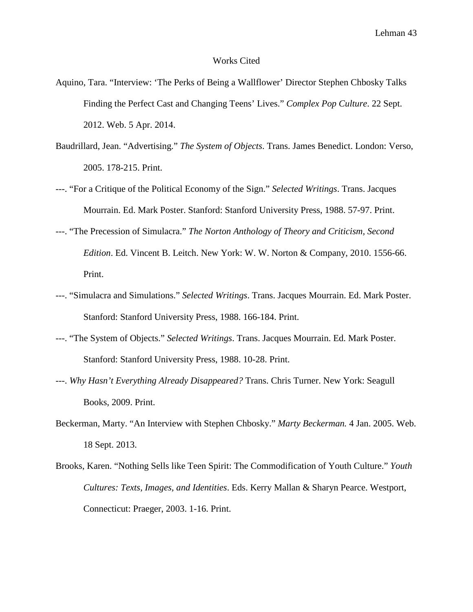## Works Cited

- Aquino, Tara. "Interview: 'The Perks of Being a Wallflower' Director Stephen Chbosky Talks Finding the Perfect Cast and Changing Teens' Lives." *Complex Pop Culture*. 22 Sept. 2012. Web. 5 Apr. 2014.
- Baudrillard, Jean. "Advertising." *The System of Objects*. Trans. James Benedict. London: Verso, 2005. 178-215. Print.
- ---. "For a Critique of the Political Economy of the Sign." *Selected Writings*. Trans. Jacques Mourrain. Ed. Mark Poster. Stanford: Stanford University Press, 1988. 57-97. Print.
- ---. "The Precession of Simulacra." *The Norton Anthology of Theory and Criticism, Second Edition*. Ed. Vincent B. Leitch. New York: W. W. Norton & Company, 2010. 1556-66. Print.
- ---. "Simulacra and Simulations." *Selected Writings*. Trans. Jacques Mourrain. Ed. Mark Poster. Stanford: Stanford University Press, 1988. 166-184. Print.
- ---. "The System of Objects." *Selected Writings*. Trans. Jacques Mourrain. Ed. Mark Poster. Stanford: Stanford University Press, 1988. 10-28. Print.
- ---. *Why Hasn't Everything Already Disappeared?* Trans. Chris Turner. New York: Seagull Books, 2009. Print.
- Beckerman, Marty. "An Interview with Stephen Chbosky." *Marty Beckerman.* 4 Jan. 2005. Web. 18 Sept. 2013.
- Brooks, Karen. "Nothing Sells like Teen Spirit: The Commodification of Youth Culture." *Youth Cultures: Texts, Images, and Identities*. Eds. Kerry Mallan & Sharyn Pearce. Westport, Connecticut: Praeger, 2003. 1-16. Print.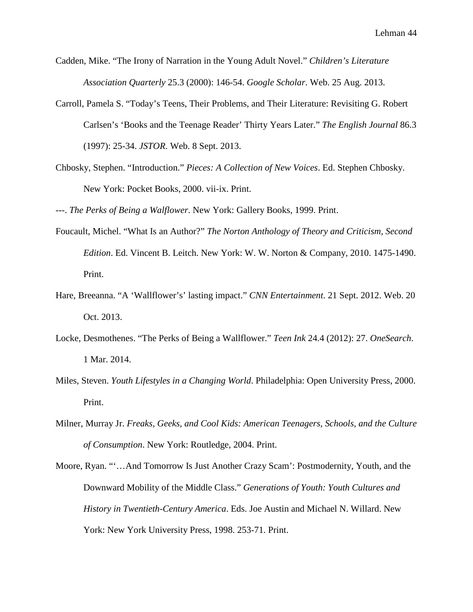- Cadden, Mike. "The Irony of Narration in the Young Adult Novel." *Children's Literature Association Quarterly* 25.3 (2000): 146-54. *Google Scholar*. Web. 25 Aug. 2013.
- Carroll, Pamela S. "Today's Teens, Their Problems, and Their Literature: Revisiting G. Robert Carlsen's 'Books and the Teenage Reader' Thirty Years Later." *The English Journal* 86.3 (1997): 25-34. *JSTOR*. Web. 8 Sept. 2013.
- Chbosky, Stephen. "Introduction." *Pieces: A Collection of New Voices*. Ed. Stephen Chbosky. New York: Pocket Books, 2000. vii-ix. Print.

---. *The Perks of Being a Walflower*. New York: Gallery Books, 1999. Print.

- Foucault, Michel. "What Is an Author?" *The Norton Anthology of Theory and Criticism, Second Edition*. Ed. Vincent B. Leitch. New York: W. W. Norton & Company, 2010. 1475-1490. Print.
- Hare, Breeanna. "A 'Wallflower's' lasting impact." *CNN Entertainment*. 21 Sept. 2012. Web. 20 Oct. 2013.
- Locke, Desmothenes. "The Perks of Being a Wallflower." *Teen Ink* 24.4 (2012): 27. *OneSearch*. 1 Mar. 2014.
- Miles, Steven. *Youth Lifestyles in a Changing World*. Philadelphia: Open University Press, 2000. Print.
- Milner, Murray Jr. *Freaks, Geeks, and Cool Kids: American Teenagers, Schools, and the Culture of Consumption*. New York: Routledge, 2004. Print.
- Moore, Ryan. "'…And Tomorrow Is Just Another Crazy Scam': Postmodernity, Youth, and the Downward Mobility of the Middle Class." *Generations of Youth: Youth Cultures and History in Twentieth-Century America*. Eds. Joe Austin and Michael N. Willard. New York: New York University Press, 1998. 253-71. Print.